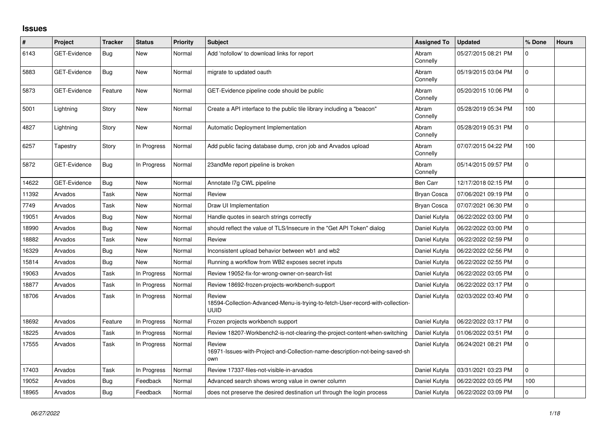## **Issues**

| #     | Project             | <b>Tracker</b> | <b>Status</b> | Priority | <b>Subject</b>                                                                                          | <b>Assigned To</b> | <b>Updated</b>      | % Done       | <b>Hours</b> |
|-------|---------------------|----------------|---------------|----------|---------------------------------------------------------------------------------------------------------|--------------------|---------------------|--------------|--------------|
| 6143  | GET-Evidence        | Bug            | New           | Normal   | Add 'nofollow' to download links for report                                                             | Abram<br>Connelly  | 05/27/2015 08:21 PM | $\Omega$     |              |
| 5883  | <b>GET-Evidence</b> | Bug            | <b>New</b>    | Normal   | migrate to updated oauth                                                                                | Abram<br>Connelly  | 05/19/2015 03:04 PM | $\mathbf 0$  |              |
| 5873  | <b>GET-Evidence</b> | Feature        | <b>New</b>    | Normal   | GET-Evidence pipeline code should be public                                                             | Abram<br>Connelly  | 05/20/2015 10:06 PM | $\mathbf 0$  |              |
| 5001  | Lightning           | Story          | New           | Normal   | Create a API interface to the public tile library including a "beacon"                                  | Abram<br>Connelly  | 05/28/2019 05:34 PM | 100          |              |
| 4827  | Lightning           | Story          | <b>New</b>    | Normal   | <b>Automatic Deployment Implementation</b>                                                              | Abram<br>Connelly  | 05/28/2019 05:31 PM | 0            |              |
| 6257  | Tapestry            | Story          | In Progress   | Normal   | Add public facing database dump, cron job and Arvados upload                                            | Abram<br>Connelly  | 07/07/2015 04:22 PM | 100          |              |
| 5872  | <b>GET-Evidence</b> | <b>Bug</b>     | In Progress   | Normal   | 23andMe report pipeline is broken                                                                       | Abram<br>Connelly  | 05/14/2015 09:57 PM | $\mathbf{0}$ |              |
| 14622 | <b>GET-Evidence</b> | Bug            | <b>New</b>    | Normal   | Annotate I7g CWL pipeline                                                                               | Ben Carr           | 12/17/2018 02:15 PM | $\Omega$     |              |
| 11392 | Arvados             | Task           | <b>New</b>    | Normal   | Review                                                                                                  | <b>Bryan Cosca</b> | 07/06/2021 09:19 PM | 0            |              |
| 7749  | Arvados             | Task           | <b>New</b>    | Normal   | Draw UI Implementation                                                                                  | <b>Bryan Cosca</b> | 07/07/2021 06:30 PM | $\Omega$     |              |
| 19051 | Arvados             | Bug            | <b>New</b>    | Normal   | Handle quotes in search strings correctly                                                               | Daniel Kutyła      | 06/22/2022 03:00 PM | 0            |              |
| 18990 | Arvados             | Bug            | <b>New</b>    | Normal   | should reflect the value of TLS/Insecure in the "Get API Token" dialog                                  | Daniel Kutyła      | 06/22/2022 03:00 PM | 0            |              |
| 18882 | Arvados             | Task           | <b>New</b>    | Normal   | Review                                                                                                  | Daniel Kutyła      | 06/22/2022 02:59 PM | 0            |              |
| 16329 | Arvados             | Bug            | <b>New</b>    | Normal   | Inconsistent upload behavior between wb1 and wb2                                                        | Daniel Kutyła      | 06/22/2022 02:56 PM | 0            |              |
| 15814 | Arvados             | <b>Bug</b>     | <b>New</b>    | Normal   | Running a workflow from WB2 exposes secret inputs                                                       | Daniel Kutyła      | 06/22/2022 02:55 PM | 0            |              |
| 19063 | Arvados             | Task           | In Progress   | Normal   | Review 19052-fix-for-wrong-owner-on-search-list                                                         | Daniel Kutyła      | 06/22/2022 03:05 PM | $\Omega$     |              |
| 18877 | Arvados             | Task           | In Progress   | Normal   | Review 18692-frozen-projects-workbench-support                                                          | Daniel Kutyła      | 06/22/2022 03:17 PM | 0            |              |
| 18706 | Arvados             | Task           | In Progress   | Normal   | Review<br>18594-Collection-Advanced-Menu-is-trying-to-fetch-User-record-with-collection-<br><b>UUID</b> | Daniel Kutyła      | 02/03/2022 03:40 PM | $\mathbf 0$  |              |
| 18692 | Arvados             | Feature        | In Progress   | Normal   | Frozen projects workbench support                                                                       | Daniel Kutyła      | 06/22/2022 03:17 PM | $\mathbf 0$  |              |
| 18225 | Arvados             | Task           | In Progress   | Normal   | Review 18207-Workbench2-is-not-clearing-the-project-content-when-switching                              | Daniel Kutyła      | 01/06/2022 03:51 PM | $\Omega$     |              |
| 17555 | Arvados             | Task           | In Progress   | Normal   | Review<br>16971-Issues-with-Project-and-Collection-name-description-not-being-saved-sh<br>own           | Daniel Kutyła      | 06/24/2021 08:21 PM | $\mathbf 0$  |              |
| 17403 | Arvados             | Task           | In Progress   | Normal   | Review 17337-files-not-visible-in-arvados                                                               | Daniel Kutyła      | 03/31/2021 03:23 PM | $\mathbf 0$  |              |
| 19052 | Arvados             | Bug            | Feedback      | Normal   | Advanced search shows wrong value in owner column                                                       | Daniel Kutyła      | 06/22/2022 03:05 PM | 100          |              |
| 18965 | Arvados             | <b>Bug</b>     | Feedback      | Normal   | does not preserve the desired destination url through the login process                                 | Daniel Kutyła      | 06/22/2022 03:09 PM | 0            |              |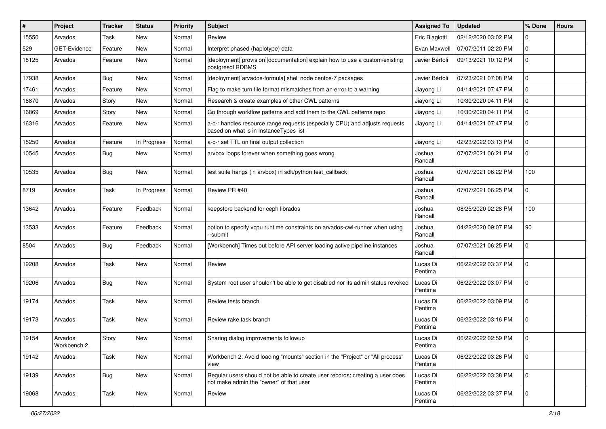| #     | Project                | <b>Tracker</b> | <b>Status</b> | <b>Priority</b> | <b>Subject</b>                                                                                                           | <b>Assigned To</b>  | <b>Updated</b>      | % Done         | <b>Hours</b> |
|-------|------------------------|----------------|---------------|-----------------|--------------------------------------------------------------------------------------------------------------------------|---------------------|---------------------|----------------|--------------|
| 15550 | Arvados                | Task           | New           | Normal          | Review                                                                                                                   | Eric Biagiotti      | 02/12/2020 03:02 PM | 0              |              |
| 529   | GET-Evidence           | Feature        | <b>New</b>    | Normal          | Interpret phased (haplotype) data                                                                                        | Evan Maxwell        | 07/07/2011 02:20 PM | 0              |              |
| 18125 | Arvados                | Feature        | New           | Normal          | [deployment][provision][documentation] explain how to use a custom/existing<br>postgresql RDBMS                          | Javier Bértoli      | 09/13/2021 10:12 PM | 0              |              |
| 17938 | Arvados                | Bug            | <b>New</b>    | Normal          | [deployment][arvados-formula] shell node centos-7 packages                                                               | Javier Bértoli      | 07/23/2021 07:08 PM | 0              |              |
| 17461 | Arvados                | Feature        | New           | Normal          | Flag to make turn file format mismatches from an error to a warning                                                      | Jiayong Li          | 04/14/2021 07:47 PM | 0              |              |
| 16870 | Arvados                | Story          | <b>New</b>    | Normal          | Research & create examples of other CWL patterns                                                                         | Jiayong Li          | 10/30/2020 04:11 PM | 0              |              |
| 16869 | Arvados                | Story          | <b>New</b>    | Normal          | Go through workflow patterns and add them to the CWL patterns repo                                                       | Jiayong Li          | 10/30/2020 04:11 PM | 0              |              |
| 16316 | Arvados                | Feature        | New           | Normal          | a-c-r handles resource range requests (especially CPU) and adjusts requests<br>based on what is in InstanceTypes list    | Jiayong Li          | 04/14/2021 07:47 PM | 0              |              |
| 15250 | Arvados                | Feature        | In Progress   | Normal          | a-c-r set TTL on final output collection                                                                                 | Jiayong Li          | 02/23/2022 03:13 PM | 0              |              |
| 10545 | Arvados                | <b>Bug</b>     | <b>New</b>    | Normal          | arvbox loops forever when something goes wrong                                                                           | Joshua<br>Randall   | 07/07/2021 06:21 PM | 0              |              |
| 10535 | Arvados                | Bug            | <b>New</b>    | Normal          | test suite hangs (in arvbox) in sdk/python test_callback                                                                 | Joshua<br>Randall   | 07/07/2021 06:22 PM | 100            |              |
| 8719  | Arvados                | Task           | In Progress   | Normal          | Review PR #40                                                                                                            | Joshua<br>Randall   | 07/07/2021 06:25 PM | 0              |              |
| 13642 | Arvados                | Feature        | Feedback      | Normal          | keepstore backend for ceph librados                                                                                      | Joshua<br>Randall   | 08/25/2020 02:28 PM | 100            |              |
| 13533 | Arvados                | Feature        | Feedback      | Normal          | option to specify vcpu runtime constraints on arvados-cwl-runner when using<br>--submit                                  | Joshua<br>Randall   | 04/22/2020 09:07 PM | 90             |              |
| 8504  | Arvados                | <b>Bug</b>     | Feedback      | Normal          | [Workbench] Times out before API server loading active pipeline instances                                                | Joshua<br>Randall   | 07/07/2021 06:25 PM | 0              |              |
| 19208 | Arvados                | Task           | <b>New</b>    | Normal          | Review                                                                                                                   | Lucas Di<br>Pentima | 06/22/2022 03:37 PM | 0              |              |
| 19206 | Arvados                | <b>Bug</b>     | <b>New</b>    | Normal          | System root user shouldn't be able to get disabled nor its admin status revoked                                          | Lucas Di<br>Pentima | 06/22/2022 03:07 PM | 0              |              |
| 19174 | Arvados                | Task           | <b>New</b>    | Normal          | Review tests branch                                                                                                      | Lucas Di<br>Pentima | 06/22/2022 03:09 PM | 0              |              |
| 19173 | Arvados                | Task           | <b>New</b>    | Normal          | Review rake task branch                                                                                                  | Lucas Di<br>Pentima | 06/22/2022 03:16 PM | 0              |              |
| 19154 | Arvados<br>Workbench 2 | Story          | New           | Normal          | Sharing dialog improvements followup                                                                                     | Lucas Di<br>Pentima | 06/22/2022 02:59 PM | 0              |              |
| 19142 | Arvados                | Task           | New           | Normal          | Workbench 2: Avoid loading "mounts" section in the "Project" or "All process"<br>view                                    | Lucas Di<br>Pentima | 06/22/2022 03:26 PM | $\overline{0}$ |              |
| 19139 | Arvados                | <b>Bug</b>     | New           | Normal          | Regular users should not be able to create user records; creating a user does<br>not make admin the "owner" of that user | Lucas Di<br>Pentima | 06/22/2022 03:38 PM | $\mathbf 0$    |              |
| 19068 | Arvados                | Task           | New           | Normal          | Review                                                                                                                   | Lucas Di<br>Pentima | 06/22/2022 03:37 PM | $\mathbf 0$    |              |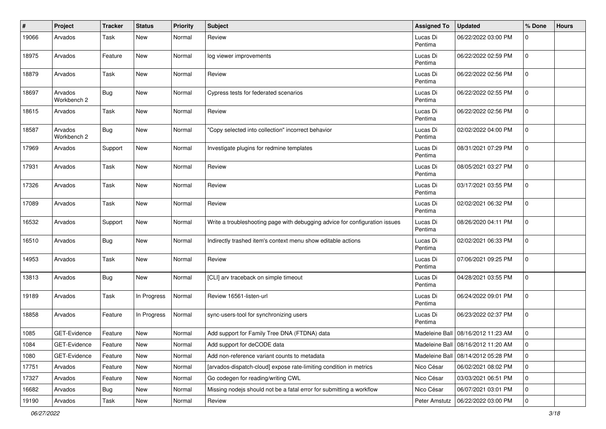| ∦     | Project                | <b>Tracker</b> | <b>Status</b> | <b>Priority</b> | <b>Subject</b>                                                              | <b>Assigned To</b>  | <b>Updated</b>                     | % Done      | <b>Hours</b> |
|-------|------------------------|----------------|---------------|-----------------|-----------------------------------------------------------------------------|---------------------|------------------------------------|-------------|--------------|
| 19066 | Arvados                | Task           | New           | Normal          | Review                                                                      | Lucas Di<br>Pentima | 06/22/2022 03:00 PM                | 0           |              |
| 18975 | Arvados                | Feature        | New           | Normal          | log viewer improvements                                                     | Lucas Di<br>Pentima | 06/22/2022 02:59 PM                | $\mathbf 0$ |              |
| 18879 | Arvados                | Task           | New           | Normal          | Review                                                                      | Lucas Di<br>Pentima | 06/22/2022 02:56 PM                | $\mathbf 0$ |              |
| 18697 | Arvados<br>Workbench 2 | <b>Bug</b>     | New           | Normal          | Cypress tests for federated scenarios                                       | Lucas Di<br>Pentima | 06/22/2022 02:55 PM                | $\mathbf 0$ |              |
| 18615 | Arvados                | Task           | New           | Normal          | Review                                                                      | Lucas Di<br>Pentima | 06/22/2022 02:56 PM                | $\mathbf 0$ |              |
| 18587 | Arvados<br>Workbench 2 | Bug            | New           | Normal          | "Copy selected into collection" incorrect behavior                          | Lucas Di<br>Pentima | 02/02/2022 04:00 PM                | $\mathbf 0$ |              |
| 17969 | Arvados                | Support        | <b>New</b>    | Normal          | Investigate plugins for redmine templates                                   | Lucas Di<br>Pentima | 08/31/2021 07:29 PM                | $\mathbf 0$ |              |
| 17931 | Arvados                | Task           | New           | Normal          | Review                                                                      | Lucas Di<br>Pentima | 08/05/2021 03:27 PM                | $\mathbf 0$ |              |
| 17326 | Arvados                | Task           | <b>New</b>    | Normal          | Review                                                                      | Lucas Di<br>Pentima | 03/17/2021 03:55 PM                | $\mathbf 0$ |              |
| 17089 | Arvados                | Task           | <b>New</b>    | Normal          | Review                                                                      | Lucas Di<br>Pentima | 02/02/2021 06:32 PM                | $\mathbf 0$ |              |
| 16532 | Arvados                | Support        | New           | Normal          | Write a troubleshooting page with debugging advice for configuration issues | Lucas Di<br>Pentima | 08/26/2020 04:11 PM                | $\mathbf 0$ |              |
| 16510 | Arvados                | Bug            | New           | Normal          | Indirectly trashed item's context menu show editable actions                | Lucas Di<br>Pentima | 02/02/2021 06:33 PM                | $\mathbf 0$ |              |
| 14953 | Arvados                | Task           | New           | Normal          | Review                                                                      | Lucas Di<br>Pentima | 07/06/2021 09:25 PM                | $\mathbf 0$ |              |
| 13813 | Arvados                | Bug            | <b>New</b>    | Normal          | [CLI] arv traceback on simple timeout                                       | Lucas Di<br>Pentima | 04/28/2021 03:55 PM                | $\mathbf 0$ |              |
| 19189 | Arvados                | Task           | In Progress   | Normal          | Review 16561-listen-url                                                     | Lucas Di<br>Pentima | 06/24/2022 09:01 PM                | $\mathbf 0$ |              |
| 18858 | Arvados                | Feature        | In Progress   | Normal          | sync-users-tool for synchronizing users                                     | Lucas Di<br>Pentima | 06/23/2022 02:37 PM                | $\mathbf 0$ |              |
| 1085  | GET-Evidence           | Feature        | New           | Normal          | Add support for Family Tree DNA (FTDNA) data                                | Madeleine Ball      | 08/16/2012 11:23 AM                | $\mathbf 0$ |              |
| 1084  | GET-Evidence           | Feature        | New           | Normal          | Add support for deCODE data                                                 |                     | Madeleine Ball 08/16/2012 11:20 AM | 0           |              |
| 1080  | GET-Evidence           | Feature        | New           | Normal          | Add non-reference variant counts to metadata                                | Madeleine Ball      | 08/14/2012 05:28 PM                | $\mathbf 0$ |              |
| 17751 | Arvados                | Feature        | New           | Normal          | [arvados-dispatch-cloud] expose rate-limiting condition in metrics          | Nico César          | 06/02/2021 08:02 PM                | $\mathbf 0$ |              |
| 17327 | Arvados                | Feature        | New           | Normal          | Go codegen for reading/writing CWL                                          | Nico César          | 03/03/2021 06:51 PM                | $\mathbf 0$ |              |
| 16682 | Arvados                | <b>Bug</b>     | New           | Normal          | Missing nodejs should not be a fatal error for submitting a workflow        | Nico César          | 06/07/2021 03:01 PM                | $\mathbf 0$ |              |
| 19190 | Arvados                | Task           | New           | Normal          | Review                                                                      | Peter Amstutz       | 06/22/2022 03:00 PM                | $\mathbf 0$ |              |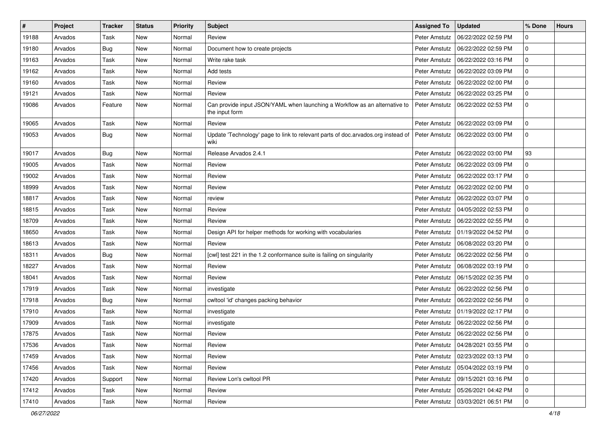| #     | Project | <b>Tracker</b> | <b>Status</b> | <b>Priority</b> | <b>Subject</b>                                                                               | <b>Assigned To</b> | <b>Updated</b>                      | % Done      | <b>Hours</b> |
|-------|---------|----------------|---------------|-----------------|----------------------------------------------------------------------------------------------|--------------------|-------------------------------------|-------------|--------------|
| 19188 | Arvados | Task           | <b>New</b>    | Normal          | Review                                                                                       | Peter Amstutz      | 06/22/2022 02:59 PM                 | 0           |              |
| 19180 | Arvados | Bug            | <b>New</b>    | Normal          | Document how to create projects                                                              | Peter Amstutz      | 06/22/2022 02:59 PM                 | 0           |              |
| 19163 | Arvados | Task           | New           | Normal          | Write rake task                                                                              | Peter Amstutz      | 06/22/2022 03:16 PM                 | $\mathbf 0$ |              |
| 19162 | Arvados | Task           | New           | Normal          | Add tests                                                                                    | Peter Amstutz      | 06/22/2022 03:09 PM                 | 0           |              |
| 19160 | Arvados | Task           | <b>New</b>    | Normal          | Review                                                                                       | Peter Amstutz      | 06/22/2022 02:00 PM                 | 0           |              |
| 19121 | Arvados | Task           | New           | Normal          | Review                                                                                       | Peter Amstutz      | 06/22/2022 03:25 PM                 | 0           |              |
| 19086 | Arvados | Feature        | New           | Normal          | Can provide input JSON/YAML when launching a Workflow as an alternative to<br>the input form | Peter Amstutz      | 06/22/2022 02:53 PM                 | 0           |              |
| 19065 | Arvados | Task           | New           | Normal          | Review                                                                                       | Peter Amstutz      | 06/22/2022 03:09 PM                 | 0           |              |
| 19053 | Arvados | Bug            | New           | Normal          | Update 'Technology' page to link to relevant parts of doc.arvados.org instead of<br>wiki     | Peter Amstutz      | 06/22/2022 03:00 PM                 | 0           |              |
| 19017 | Arvados | Bug            | <b>New</b>    | Normal          | Release Arvados 2.4.1                                                                        | Peter Amstutz      | 06/22/2022 03:00 PM                 | 93          |              |
| 19005 | Arvados | Task           | <b>New</b>    | Normal          | Review                                                                                       | Peter Amstutz      | 06/22/2022 03:09 PM                 | 0           |              |
| 19002 | Arvados | Task           | New           | Normal          | Review                                                                                       | Peter Amstutz      | 06/22/2022 03:17 PM                 | 0           |              |
| 18999 | Arvados | Task           | New           | Normal          | Review                                                                                       | Peter Amstutz      | 06/22/2022 02:00 PM                 | 0           |              |
| 18817 | Arvados | Task           | New           | Normal          | review                                                                                       | Peter Amstutz      | 06/22/2022 03:07 PM                 | 0           |              |
| 18815 | Arvados | Task           | New           | Normal          | Review                                                                                       | Peter Amstutz      | 04/05/2022 02:53 PM                 | 0           |              |
| 18709 | Arvados | Task           | <b>New</b>    | Normal          | Review                                                                                       | Peter Amstutz      | 06/22/2022 02:55 PM                 | 0           |              |
| 18650 | Arvados | Task           | New           | Normal          | Design API for helper methods for working with vocabularies                                  | Peter Amstutz      | 01/19/2022 04:52 PM                 | 0           |              |
| 18613 | Arvados | Task           | New           | Normal          | Review                                                                                       | Peter Amstutz      | 06/08/2022 03:20 PM                 | 0           |              |
| 18311 | Arvados | Bug            | New           | Normal          | [cwl] test 221 in the 1.2 conformance suite is failing on singularity                        | Peter Amstutz      | 06/22/2022 02:56 PM                 | 0           |              |
| 18227 | Arvados | Task           | New           | Normal          | Review                                                                                       | Peter Amstutz      | 06/08/2022 03:19 PM                 | 0           |              |
| 18041 | Arvados | Task           | <b>New</b>    | Normal          | Review                                                                                       | Peter Amstutz      | 06/15/2022 02:35 PM                 | 0           |              |
| 17919 | Arvados | Task           | New           | Normal          | investigate                                                                                  | Peter Amstutz      | 06/22/2022 02:56 PM                 | 0           |              |
| 17918 | Arvados | <b>Bug</b>     | New           | Normal          | cwltool 'id' changes packing behavior                                                        | Peter Amstutz      | 06/22/2022 02:56 PM                 | 0           |              |
| 17910 | Arvados | Task           | <b>New</b>    | Normal          | investigate                                                                                  | Peter Amstutz      | 01/19/2022 02:17 PM                 | 0           |              |
| 17909 | Arvados | Task           | New           | Normal          | investigate                                                                                  | Peter Amstutz      | 06/22/2022 02:56 PM                 | 0           |              |
| 17875 | Arvados | Task           | <b>New</b>    | Normal          | Review                                                                                       | Peter Amstutz      | 06/22/2022 02:56 PM                 | 0           |              |
| 17536 | Arvados | Task           | New           | Normal          | Review                                                                                       |                    | Peter Amstutz   04/28/2021 03:55 PM | 0           |              |
| 17459 | Arvados | Task           | New           | Normal          | Review                                                                                       | Peter Amstutz      | 02/23/2022 03:13 PM                 | 0           |              |
| 17456 | Arvados | Task           | <b>New</b>    | Normal          | Review                                                                                       | Peter Amstutz      | 05/04/2022 03:19 PM                 | $\mathbf 0$ |              |
| 17420 | Arvados | Support        | New           | Normal          | Review Lon's cwltool PR                                                                      | Peter Amstutz      | 09/15/2021 03:16 PM                 | $\mathbf 0$ |              |
| 17412 | Arvados | Task           | New           | Normal          | Review                                                                                       | Peter Amstutz      | 05/26/2021 04:42 PM                 | 0           |              |
| 17410 | Arvados | Task           | New           | Normal          | Review                                                                                       |                    | Peter Amstutz   03/03/2021 06:51 PM | $\mathbf 0$ |              |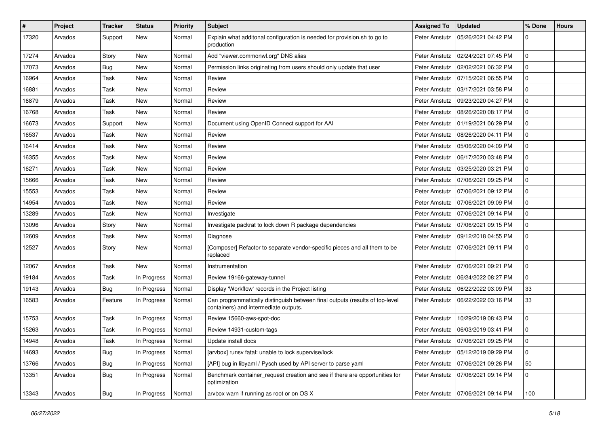| $\#$  | Project | <b>Tracker</b> | <b>Status</b> | <b>Priority</b> | <b>Subject</b>                                                                                                        | <b>Assigned To</b> | <b>Updated</b>                      | % Done       | <b>Hours</b> |
|-------|---------|----------------|---------------|-----------------|-----------------------------------------------------------------------------------------------------------------------|--------------------|-------------------------------------|--------------|--------------|
| 17320 | Arvados | Support        | New           | Normal          | Explain what additonal configuration is needed for provision.sh to go to<br>production                                | Peter Amstutz      | 05/26/2021 04:42 PM                 | 0            |              |
| 17274 | Arvados | Story          | New           | Normal          | Add "viewer.commonwl.org" DNS alias                                                                                   | Peter Amstutz      | 02/24/2021 07:45 PM                 | $\mathbf 0$  |              |
| 17073 | Arvados | Bug            | New           | Normal          | Permission links originating from users should only update that user                                                  | Peter Amstutz      | 02/02/2021 06:32 PM                 | $\Omega$     |              |
| 16964 | Arvados | Task           | <b>New</b>    | Normal          | Review                                                                                                                | Peter Amstutz      | 07/15/2021 06:55 PM                 | 0            |              |
| 16881 | Arvados | Task           | <b>New</b>    | Normal          | Review                                                                                                                | Peter Amstutz      | 03/17/2021 03:58 PM                 | $\mathbf 0$  |              |
| 16879 | Arvados | Task           | New           | Normal          | Review                                                                                                                | Peter Amstutz      | 09/23/2020 04:27 PM                 | $\Omega$     |              |
| 16768 | Arvados | Task           | New           | Normal          | Review                                                                                                                | Peter Amstutz      | 08/26/2020 08:17 PM                 | 0            |              |
| 16673 | Arvados | Support        | New           | Normal          | Document using OpenID Connect support for AAI                                                                         | Peter Amstutz      | 01/19/2021 06:29 PM                 | 0            |              |
| 16537 | Arvados | Task           | <b>New</b>    | Normal          | Review                                                                                                                | Peter Amstutz      | 08/26/2020 04:11 PM                 | 0            |              |
| 16414 | Arvados | Task           | New           | Normal          | Review                                                                                                                | Peter Amstutz      | 05/06/2020 04:09 PM                 | 0            |              |
| 16355 | Arvados | Task           | New           | Normal          | Review                                                                                                                | Peter Amstutz      | 06/17/2020 03:48 PM                 | $\mathbf{0}$ |              |
| 16271 | Arvados | Task           | New           | Normal          | Review                                                                                                                | Peter Amstutz      | 03/25/2020 03:21 PM                 | $\mathbf 0$  |              |
| 15666 | Arvados | Task           | New           | Normal          | Review                                                                                                                | Peter Amstutz      | 07/06/2021 09:25 PM                 | $\Omega$     |              |
| 15553 | Arvados | Task           | New           | Normal          | Review                                                                                                                | Peter Amstutz      | 07/06/2021 09:12 PM                 | $\mathbf 0$  |              |
| 14954 | Arvados | Task           | New           | Normal          | Review                                                                                                                | Peter Amstutz      | 07/06/2021 09:09 PM                 | $\mathbf 0$  |              |
| 13289 | Arvados | Task           | New           | Normal          | Investigate                                                                                                           | Peter Amstutz      | 07/06/2021 09:14 PM                 | $\mathbf{0}$ |              |
| 13096 | Arvados | Story          | New           | Normal          | Investigate packrat to lock down R package dependencies                                                               | Peter Amstutz      | 07/06/2021 09:15 PM                 | 0            |              |
| 12609 | Arvados | Task           | New           | Normal          | Diagnose                                                                                                              | Peter Amstutz      | 09/12/2018 04:55 PM                 | 0            |              |
| 12527 | Arvados | Story          | New           | Normal          | [Composer] Refactor to separate vendor-specific pieces and all them to be<br>replaced                                 | Peter Amstutz      | 07/06/2021 09:11 PM                 | $\Omega$     |              |
| 12067 | Arvados | Task           | <b>New</b>    | Normal          | Instrumentation                                                                                                       | Peter Amstutz      | 07/06/2021 09:21 PM                 | $\mathbf 0$  |              |
| 19184 | Arvados | Task           | In Progress   | Normal          | Review 19166-gateway-tunnel                                                                                           | Peter Amstutz      | 06/24/2022 08:27 PM                 | 0            |              |
| 19143 | Arvados | Bug            | In Progress   | Normal          | Display 'Workflow' records in the Project listing                                                                     | Peter Amstutz      | 06/22/2022 03:09 PM                 | 33           |              |
| 16583 | Arvados | Feature        | In Progress   | Normal          | Can programmatically distinguish between final outputs (results of top-level<br>containers) and intermediate outputs. | Peter Amstutz      | 06/22/2022 03:16 PM                 | 33           |              |
| 15753 | Arvados | Task           | In Progress   | Normal          | Review 15660-aws-spot-doc                                                                                             | Peter Amstutz      | 10/29/2019 08:43 PM                 | $\mathbf 0$  |              |
| 15263 | Arvados | Task           | In Progress   | Normal          | Review 14931-custom-tags                                                                                              | Peter Amstutz      | 06/03/2019 03:41 PM                 | 0            |              |
| 14948 | Arvados | Task           | In Progress   | Normal          | Update install docs                                                                                                   |                    | Peter Amstutz   07/06/2021 09:25 PM | 0            |              |
| 14693 | Arvados | Bug            | In Progress   | Normal          | [arvbox] runsv fatal: unable to lock supervise/lock                                                                   |                    | Peter Amstutz   05/12/2019 09:29 PM | $\mathbf 0$  |              |
| 13766 | Arvados | <b>Bug</b>     | In Progress   | Normal          | [API] bug in libyaml / Pysch used by API server to parse yaml                                                         | Peter Amstutz      | 07/06/2021 09:26 PM                 | 50           |              |
| 13351 | Arvados | <b>Bug</b>     | In Progress   | Normal          | Benchmark container request creation and see if there are opportunities for<br>optimization                           | Peter Amstutz      | 07/06/2021 09:14 PM                 | 0            |              |
| 13343 | Arvados | <b>Bug</b>     | In Progress   | Normal          | arvbox warn if running as root or on OS X                                                                             |                    | Peter Amstutz   07/06/2021 09:14 PM | 100          |              |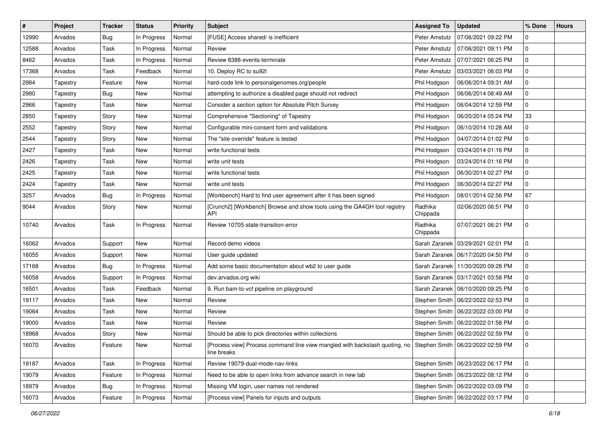| $\sharp$ | Project  | <b>Tracker</b> | <b>Status</b> | <b>Priority</b> | <b>Subject</b>                                                                                                                 | <b>Assigned To</b>  | <b>Updated</b>                      | % Done         | <b>Hours</b> |
|----------|----------|----------------|---------------|-----------------|--------------------------------------------------------------------------------------------------------------------------------|---------------------|-------------------------------------|----------------|--------------|
| 12990    | Arvados  | <b>Bug</b>     | In Progress   | Normal          | [FUSE] Access shared/ is inefficient                                                                                           | Peter Amstutz       | 07/06/2021 09:22 PM                 | 0              |              |
| 12588    | Arvados  | Task           | In Progress   | Normal          | Review                                                                                                                         | Peter Amstutz       | 07/06/2021 09:11 PM                 | 0              |              |
| 8462     | Arvados  | Task           | In Progress   | Normal          | Review 8388-events-terminate                                                                                                   | Peter Amstutz       | 07/07/2021 06:25 PM                 | 0              |              |
| 17368    | Arvados  | Task           | Feedback      | Normal          | 10. Deploy RC to su92l                                                                                                         | Peter Amstutz       | 03/03/2021 06:03 PM                 | 0              |              |
| 2984     | Tapestry | Feature        | <b>New</b>    | Normal          | hard-code link to personalgenomes.org/people                                                                                   | Phil Hodgson        | 06/06/2014 09:31 AM                 | 0              |              |
| 2980     | Tapestry | <b>Bug</b>     | New           | Normal          | attempting to authorize a disabled page should not redirect                                                                    | Phil Hodgson        | 06/06/2014 08:49 AM                 | 0              |              |
| 2966     | Tapestry | Task           | New           | Normal          | Consider a section option for Absolute Pitch Survey                                                                            | Phil Hodgson        | 06/04/2014 12:59 PM                 | 0              |              |
| 2850     | Tapestry | Story          | New           | Normal          | Comprehensive "Sectioning" of Tapestry                                                                                         | Phil Hodgson        | 06/20/2014 05:24 PM                 | 33             |              |
| 2552     | Tapestry | Story          | <b>New</b>    | Normal          | Configurable mini-consent form and validations                                                                                 | Phil Hodgson        | 06/10/2014 10:28 AM                 | 0              |              |
| 2544     | Tapestry | Story          | <b>New</b>    | Normal          | The "site override" feature is tested                                                                                          | Phil Hodgson        | 04/07/2014 01:02 PM                 | 0              |              |
| 2427     | Tapestry | Task           | New           | Normal          | write functional tests                                                                                                         | Phil Hodgson        | 03/24/2014 01:16 PM                 | 0              |              |
| 2426     | Tapestry | Task           | New           | Normal          | write unit tests                                                                                                               | Phil Hodgson        | 03/24/2014 01:16 PM                 | 0              |              |
| 2425     | Tapestry | Task           | <b>New</b>    | Normal          | write functional tests                                                                                                         | Phil Hodgson        | 06/30/2014 02:27 PM                 | 0              |              |
| 2424     | Tapestry | Task           | New           | Normal          | write unit tests                                                                                                               | Phil Hodgson        | 06/30/2014 02:27 PM                 | 0              |              |
| 3257     | Arvados  | Bug            | In Progress   | Normal          | [Workbench] Hard to find user agreement after it has been signed                                                               | Phil Hodgson        | 08/01/2014 02:56 PM                 | 67             |              |
| 9044     | Arvados  | Story          | New           | Normal          | [Crunch2] [Workbench] Browse and show tools using the GA4GH tool registry<br>API                                               | Radhika<br>Chippada | 02/06/2020 06:51 PM                 | 0              |              |
| 10740    | Arvados  | Task           | In Progress   | Normal          | Review 10705-state-transition-error                                                                                            | Radhika<br>Chippada | 07/07/2021 06:21 PM                 | 0              |              |
| 16062    | Arvados  | Support        | <b>New</b>    | Normal          | Record demo videos                                                                                                             | Sarah Zaranek       | 03/29/2021 02:01 PM                 | 0              |              |
| 16055    | Arvados  | Support        | <b>New</b>    | Normal          | User guide updated                                                                                                             | Sarah Zaranek       | 06/17/2020 04:50 PM                 | 0              |              |
| 17168    | Arvados  | <b>Bug</b>     | In Progress   | Normal          | Add some basic documentation about wb2 to user guide                                                                           |                     | Sarah Zaranek   11/30/2020 09:28 PM | 0              |              |
| 16058    | Arvados  | Support        | In Progress   | Normal          | dev.arvados.org wiki                                                                                                           |                     | Sarah Zaranek   03/17/2021 03:58 PM | 0              |              |
| 16501    | Arvados  | Task           | Feedback      | Normal          | 9. Run bam-to-vcf pipeline on playground                                                                                       |                     | Sarah Zaranek   06/10/2020 09:25 PM | 0              |              |
| 19117    | Arvados  | Task           | New           | Normal          | Review                                                                                                                         |                     | Stephen Smith   06/22/2022 02:53 PM | 0              |              |
| 19064    | Arvados  | Task           | <b>New</b>    | Normal          | Review                                                                                                                         | Stephen Smith       | 06/22/2022 03:00 PM                 | 0              |              |
| 19000    | Arvados  | Task           | New           | Normal          | Review                                                                                                                         | Stephen Smith       | 06/22/2022 01:58 PM                 | 0              |              |
| 18968    | Arvados  | Story          | New           | Normal          | Should be able to pick directories within collections                                                                          |                     | Stephen Smith   06/22/2022 02:59 PM | 0              |              |
| 16070    | Arvados  | Feature        | New           | Normal          | [Process view] Process command line view mangled with backslash quoting, no Stephen Smith   06/22/2022 02:59 PM<br>line breaks |                     |                                     | $\overline{0}$ |              |
| 19187    | Arvados  | Task           | In Progress   | Normal          | Review 19079-dual-mode-nav-links                                                                                               |                     | Stephen Smith   06/23/2022 06:17 PM | $\mathbf 0$    |              |
| 19079    | Arvados  | Feature        | In Progress   | Normal          | Need to be able to open links from advance search in new tab                                                                   |                     | Stephen Smith   06/23/2022 08:12 PM | $\mathbf 0$    |              |
| 18979    | Arvados  | <b>Bug</b>     | In Progress   | Normal          | Missing VM login, user names not rendered                                                                                      | Stephen Smith       | 06/22/2022 03:09 PM                 | 0              |              |
| 16073    | Arvados  | Feature        | In Progress   | Normal          | [Process view] Panels for inputs and outputs                                                                                   |                     | Stephen Smith   06/22/2022 03:17 PM | $\mathsf{O}$   |              |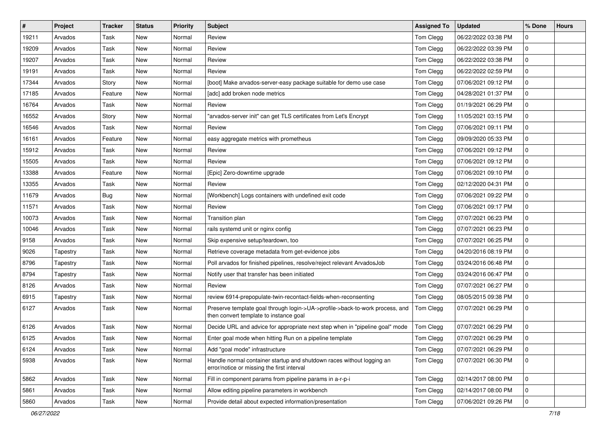| $\vert$ # | Project  | <b>Tracker</b> | <b>Status</b> | Priority | <b>Subject</b>                                                                                                         | <b>Assigned To</b> | <b>Updated</b>      | % Done      | <b>Hours</b> |
|-----------|----------|----------------|---------------|----------|------------------------------------------------------------------------------------------------------------------------|--------------------|---------------------|-------------|--------------|
| 19211     | Arvados  | Task           | New           | Normal   | Review                                                                                                                 | Tom Clegg          | 06/22/2022 03:38 PM | 0           |              |
| 19209     | Arvados  | Task           | <b>New</b>    | Normal   | Review                                                                                                                 | Tom Clegg          | 06/22/2022 03:39 PM | 0           |              |
| 19207     | Arvados  | Task           | New           | Normal   | Review                                                                                                                 | Tom Clegg          | 06/22/2022 03:38 PM | 0           |              |
| 19191     | Arvados  | Task           | New           | Normal   | Review                                                                                                                 | Tom Clegg          | 06/22/2022 02:59 PM | 0           |              |
| 17344     | Arvados  | Story          | <b>New</b>    | Normal   | [boot] Make arvados-server-easy package suitable for demo use case                                                     | Tom Clegg          | 07/06/2021 09:12 PM | $\mathbf 0$ |              |
| 17185     | Arvados  | Feature        | New           | Normal   | [adc] add broken node metrics                                                                                          | Tom Clegg          | 04/28/2021 01:37 PM | 0           |              |
| 16764     | Arvados  | Task           | New           | Normal   | Review                                                                                                                 | Tom Clegg          | 01/19/2021 06:29 PM | 0           |              |
| 16552     | Arvados  | Story          | New           | Normal   | "arvados-server init" can get TLS certificates from Let's Encrypt                                                      | Tom Clegg          | 11/05/2021 03:15 PM | 0           |              |
| 16546     | Arvados  | Task           | New           | Normal   | Review                                                                                                                 | Tom Clegg          | 07/06/2021 09:11 PM | 0           |              |
| 16161     | Arvados  | Feature        | <b>New</b>    | Normal   | easy aggregate metrics with prometheus                                                                                 | Tom Clegg          | 09/09/2020 05:33 PM | $\mathbf 0$ |              |
| 15912     | Arvados  | Task           | New           | Normal   | Review                                                                                                                 | Tom Clegg          | 07/06/2021 09:12 PM | 0           |              |
| 15505     | Arvados  | Task           | New           | Normal   | Review                                                                                                                 | Tom Clegg          | 07/06/2021 09:12 PM | 0           |              |
| 13388     | Arvados  | Feature        | New           | Normal   | [Epic] Zero-downtime upgrade                                                                                           | Tom Clegg          | 07/06/2021 09:10 PM | 0           |              |
| 13355     | Arvados  | Task           | <b>New</b>    | Normal   | Review                                                                                                                 | Tom Clegg          | 02/12/2020 04:31 PM | $\mathbf 0$ |              |
| 11679     | Arvados  | Bug            | <b>New</b>    | Normal   | [Workbench] Logs containers with undefined exit code                                                                   | Tom Clegg          | 07/06/2021 09:22 PM | $\mathbf 0$ |              |
| 11571     | Arvados  | Task           | New           | Normal   | Review                                                                                                                 | Tom Clegg          | 07/06/2021 09:17 PM | $\mathbf 0$ |              |
| 10073     | Arvados  | Task           | New           | Normal   | Transition plan                                                                                                        | Tom Clegg          | 07/07/2021 06:23 PM | 0           |              |
| 10046     | Arvados  | Task           | <b>New</b>    | Normal   | rails systemd unit or nginx config                                                                                     | Tom Clegg          | 07/07/2021 06:23 PM | $\mathbf 0$ |              |
| 9158      | Arvados  | Task           | New           | Normal   | Skip expensive setup/teardown, too                                                                                     | Tom Clegg          | 07/07/2021 06:25 PM | $\Omega$    |              |
| 9026      | Tapestry | Task           | New           | Normal   | Retrieve coverage metadata from get-evidence jobs                                                                      | Tom Clegg          | 04/20/2016 08:19 PM | $\mathbf 0$ |              |
| 8796      | Tapestry | Task           | New           | Normal   | Poll arvados for finished pipelines, resolve/reject relevant ArvadosJob                                                | Tom Clegg          | 03/24/2016 06:48 PM | 0           |              |
| 8794      | Tapestry | Task           | New           | Normal   | Notify user that transfer has been initiated                                                                           | Tom Clegg          | 03/24/2016 06:47 PM | 0           |              |
| 8126      | Arvados  | Task           | <b>New</b>    | Normal   | Review                                                                                                                 | Tom Clegg          | 07/07/2021 06:27 PM | $\mathbf 0$ |              |
| 6915      | Tapestry | Task           | New           | Normal   | review 6914-prepopulate-twin-recontact-fields-when-reconsenting                                                        | Tom Clegg          | 08/05/2015 09:38 PM | 0           |              |
| 6127      | Arvados  | Task           | New           | Normal   | Preserve template goal through login->UA->profile->back-to-work process, and<br>then convert template to instance goal | Tom Clegg          | 07/07/2021 06:29 PM | 0           |              |
| 6126      | Arvados  | Task           | <b>New</b>    | Normal   | Decide URL and advice for appropriate next step when in "pipeline goal" mode                                           | Tom Clegg          | 07/07/2021 06:29 PM | 0           |              |
| 6125      | Arvados  | Task           | New           | Normal   | Enter goal mode when hitting Run on a pipeline template                                                                | Tom Clegg          | 07/07/2021 06:29 PM | $\mathbf 0$ |              |
| 6124      | Arvados  | Task           | New           | Normal   | Add "goal mode" infrastructure                                                                                         | Tom Clegg          | 07/07/2021 06:29 PM | $\mathbf 0$ |              |
| 5938      | Arvados  | Task           | New           | Normal   | Handle normal container startup and shutdown races without logging an<br>error/notice or missing the first interval    | Tom Clegg          | 07/07/2021 06:30 PM | $\mathbf 0$ |              |
| 5862      | Arvados  | Task           | New           | Normal   | Fill in component params from pipeline params in a-r-p-i                                                               | Tom Clegg          | 02/14/2017 08:00 PM | $\mathbf 0$ |              |
| 5861      | Arvados  | Task           | New           | Normal   | Allow editing pipeline parameters in workbench                                                                         | Tom Clegg          | 02/14/2017 08:00 PM | $\mathbf 0$ |              |
| 5860      | Arvados  | Task           | New           | Normal   | Provide detail about expected information/presentation                                                                 | Tom Clegg          | 07/06/2021 09:26 PM | 0           |              |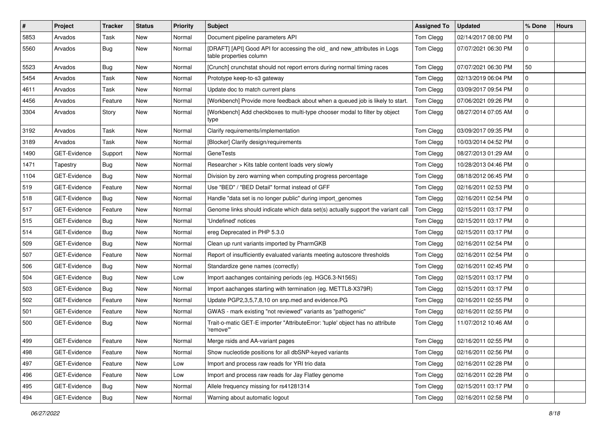| $\pmb{\#}$ | Project             | <b>Tracker</b> | <b>Status</b> | Priority | <b>Subject</b>                                                                                      | <b>Assigned To</b> | <b>Updated</b>      | % Done       | <b>Hours</b> |
|------------|---------------------|----------------|---------------|----------|-----------------------------------------------------------------------------------------------------|--------------------|---------------------|--------------|--------------|
| 5853       | Arvados             | Task           | <b>New</b>    | Normal   | Document pipeline parameters API                                                                    | Tom Clegg          | 02/14/2017 08:00 PM | 0            |              |
| 5560       | Arvados             | Bug            | New           | Normal   | [DRAFT] [API] Good API for accessing the old_ and new_attributes in Logs<br>table properties column | Tom Clegg          | 07/07/2021 06:30 PM | 0            |              |
| 5523       | Arvados             | <b>Bug</b>     | <b>New</b>    | Normal   | [Crunch] crunchstat should not report errors during normal timing races                             | Tom Clegg          | 07/07/2021 06:30 PM | 50           |              |
| 5454       | Arvados             | Task           | <b>New</b>    | Normal   | Prototype keep-to-s3 gateway                                                                        | Tom Clegg          | 02/13/2019 06:04 PM | 0            |              |
| 4611       | Arvados             | Task           | <b>New</b>    | Normal   | Update doc to match current plans                                                                   | Tom Clegg          | 03/09/2017 09:54 PM | 0            |              |
| 4456       | Arvados             | Feature        | <b>New</b>    | Normal   | [Workbench] Provide more feedback about when a queued job is likely to start.                       | Tom Clegg          | 07/06/2021 09:26 PM | 0            |              |
| 3304       | Arvados             | Story          | New           | Normal   | [Workbench] Add checkboxes to multi-type chooser modal to filter by object<br>type                  | Tom Clegg          | 08/27/2014 07:05 AM | 0            |              |
| 3192       | Arvados             | Task           | <b>New</b>    | Normal   | Clarify requirements/implementation                                                                 | Tom Clegg          | 03/09/2017 09:35 PM | 0            |              |
| 3189       | Arvados             | Task           | <b>New</b>    | Normal   | [Blocker] Clarify design/requirements                                                               | Tom Clegg          | 10/03/2014 04:52 PM | 0            |              |
| 1490       | GET-Evidence        | Support        | <b>New</b>    | Normal   | <b>GeneTests</b>                                                                                    | Tom Clegg          | 08/27/2013 01:29 AM | 0            |              |
| 1471       | Tapestry            | Bug            | <b>New</b>    | Normal   | Researcher > Kits table content loads very slowly                                                   | Tom Clegg          | 10/28/2013 04:46 PM | 0            |              |
| 1104       | <b>GET-Evidence</b> | Bug            | New           | Normal   | Division by zero warning when computing progress percentage                                         | Tom Clegg          | 08/18/2012 06:45 PM | 0            |              |
| 519        | GET-Evidence        | Feature        | <b>New</b>    | Normal   | Use "BED" / "BED Detail" format instead of GFF                                                      | Tom Clegg          | 02/16/2011 02:53 PM | 0            |              |
| 518        | GET-Evidence        | <b>Bug</b>     | New           | Normal   | Handle "data set is no longer public" during import genomes                                         | Tom Clegg          | 02/16/2011 02:54 PM | 0            |              |
| 517        | GET-Evidence        | Feature        | <b>New</b>    | Normal   | Genome links should indicate which data set(s) actually support the variant call                    | Tom Clegg          | 02/15/2011 03:17 PM | 0            |              |
| 515        | GET-Evidence        | Bug            | <b>New</b>    | Normal   | 'Undefined' notices                                                                                 | Tom Clegg          | 02/15/2011 03:17 PM | 0            |              |
| 514        | GET-Evidence        | Bug            | New           | Normal   | ereg Deprecated in PHP 5.3.0                                                                        | Tom Clegg          | 02/15/2011 03:17 PM | 0            |              |
| 509        | GET-Evidence        | Bug            | New           | Normal   | Clean up runt variants imported by PharmGKB                                                         | Tom Clegg          | 02/16/2011 02:54 PM | 0            |              |
| 507        | GET-Evidence        | Feature        | <b>New</b>    | Normal   | Report of insufficiently evaluated variants meeting autoscore thresholds                            | Tom Clegg          | 02/16/2011 02:54 PM | 0            |              |
| 506        | GET-Evidence        | <b>Bug</b>     | <b>New</b>    | Normal   | Standardize gene names (correctly)                                                                  | Tom Clegg          | 02/16/2011 02:45 PM | 0            |              |
| 504        | GET-Evidence        | Bug            | <b>New</b>    | Low      | Import aachanges containing periods (eg. HGC6.3-N156S)                                              | Tom Clegg          | 02/15/2011 03:17 PM | 0            |              |
| 503        | GET-Evidence        | Bug            | <b>New</b>    | Normal   | Import aachanges starting with termination (eg. METTL8-X379R)                                       | Tom Clegg          | 02/15/2011 03:17 PM | 0            |              |
| 502        | GET-Evidence        | Feature        | New           | Normal   | Update PGP2,3,5,7,8,10 on snp.med and evidence.PG                                                   | Tom Clegg          | 02/16/2011 02:55 PM | 0            |              |
| 501        | GET-Evidence        | Feature        | <b>New</b>    | Normal   | GWAS - mark existing "not reviewed" variants as "pathogenic"                                        | Tom Clegg          | 02/16/2011 02:55 PM | 0            |              |
| 500        | GET-Evidence        | Bug            | New           | Normal   | Trait-o-matic GET-E importer "AttributeError: 'tuple' object has no attribute<br>'remove'"          | Tom Clegg          | 11/07/2012 10:46 AM | 0            |              |
| 499        | GET-Evidence        | Feature        | New           | Normal   | Merge rsids and AA-variant pages                                                                    | Tom Clegg          | 02/16/2011 02:55 PM | $\mathbf 0$  |              |
| 498        | GET-Evidence        | Feature        | New           | Normal   | Show nucleotide positions for all dbSNP-keyed variants                                              | Tom Clegg          | 02/16/2011 02:56 PM | $\mathbf 0$  |              |
| 497        | GET-Evidence        | Feature        | New           | Low      | Import and process raw reads for YRI trio data                                                      | Tom Clegg          | 02/16/2011 02:28 PM | $\mathsf{O}$ |              |
| 496        | GET-Evidence        | Feature        | New           | Low      | Import and process raw reads for Jay Flatley genome                                                 | Tom Clegg          | 02/16/2011 02:28 PM | $\mathbf 0$  |              |
| 495        | GET-Evidence        | Bug            | New           | Normal   | Allele frequency missing for rs41281314                                                             | Tom Clegg          | 02/15/2011 03:17 PM | 0            |              |
| 494        | GET-Evidence        | Bug            | New           | Normal   | Warning about automatic logout                                                                      | Tom Clegg          | 02/16/2011 02:58 PM | $\mathbf 0$  |              |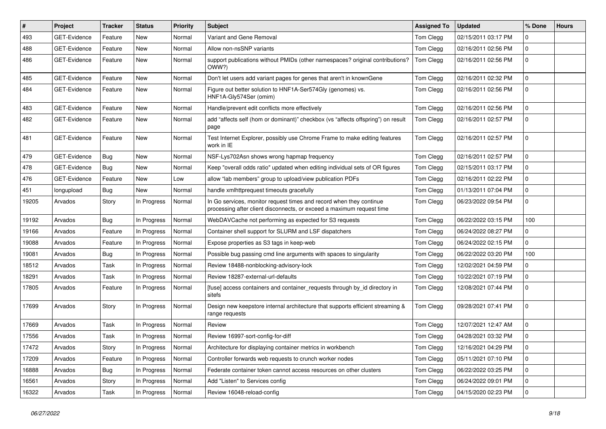| #     | Project             | <b>Tracker</b> | <b>Status</b> | Priority | <b>Subject</b>                                                                                                                               | <b>Assigned To</b> | <b>Updated</b>      | % Done         | <b>Hours</b> |
|-------|---------------------|----------------|---------------|----------|----------------------------------------------------------------------------------------------------------------------------------------------|--------------------|---------------------|----------------|--------------|
| 493   | <b>GET-Evidence</b> | Feature        | New           | Normal   | Variant and Gene Removal                                                                                                                     | Tom Clegg          | 02/15/2011 03:17 PM | 0              |              |
| 488   | GET-Evidence        | Feature        | <b>New</b>    | Normal   | Allow non-nsSNP variants                                                                                                                     | Tom Clegg          | 02/16/2011 02:56 PM | 0              |              |
| 486   | <b>GET-Evidence</b> | Feature        | <b>New</b>    | Normal   | support publications without PMIDs (other namespaces? original contributions?<br>OWW?)                                                       | Tom Clegg          | 02/16/2011 02:56 PM | 0              |              |
| 485   | <b>GET-Evidence</b> | Feature        | <b>New</b>    | Normal   | Don't let users add variant pages for genes that aren't in knownGene                                                                         | Tom Clegg          | 02/16/2011 02:32 PM | 0              |              |
| 484   | GET-Evidence        | Feature        | New           | Normal   | Figure out better solution to HNF1A-Ser574Gly (genomes) vs.<br>HNF1A-Gly574Ser (omim)                                                        | Tom Clegg          | 02/16/2011 02:56 PM | 0              |              |
| 483   | GET-Evidence        | Feature        | <b>New</b>    | Normal   | Handle/prevent edit conflicts more effectively                                                                                               | Tom Clegg          | 02/16/2011 02:56 PM | 0              |              |
| 482   | <b>GET-Evidence</b> | Feature        | New           | Normal   | add "affects self (hom or dominant)" checkbox (vs "affects offspring") on result<br>page                                                     | Tom Clegg          | 02/16/2011 02:57 PM | 0              |              |
| 481   | <b>GET-Evidence</b> | Feature        | New           | Normal   | Test Internet Explorer, possibly use Chrome Frame to make editing features<br>work in IE                                                     | Tom Clegg          | 02/16/2011 02:57 PM | 0              |              |
| 479   | <b>GET-Evidence</b> | Bug            | <b>New</b>    | Normal   | NSF-Lys702Asn shows wrong hapmap frequency                                                                                                   | Tom Clegg          | 02/16/2011 02:57 PM | 0              |              |
| 478   | <b>GET-Evidence</b> | Bug            | New           | Normal   | Keep "overall odds ratio" updated when editing individual sets of OR figures                                                                 | Tom Clegg          | 02/15/2011 03:17 PM | 0              |              |
| 476   | GET-Evidence        | Feature        | New           | Low      | allow "lab members" group to upload/view publication PDFs                                                                                    | Tom Clegg          | 02/16/2011 02:22 PM | 0              |              |
| 451   | longupload          | Bug            | New           | Normal   | handle xmlhttprequest timeouts gracefully                                                                                                    | Tom Clegg          | 01/13/2011 07:04 PM | 0              |              |
| 19205 | Arvados             | Story          | In Progress   | Normal   | In Go services, monitor request times and record when they continue<br>processing after client disconnects, or exceed a maximum request time | Tom Clegg          | 06/23/2022 09:54 PM | 0              |              |
| 19192 | Arvados             | Bug            | In Progress   | Normal   | WebDAVCache not performing as expected for S3 requests                                                                                       | Tom Clegg          | 06/22/2022 03:15 PM | 100            |              |
| 19166 | Arvados             | Feature        | In Progress   | Normal   | Container shell support for SLURM and LSF dispatchers                                                                                        | Tom Clegg          | 06/24/2022 08:27 PM | 0              |              |
| 19088 | Arvados             | Feature        | In Progress   | Normal   | Expose properties as S3 tags in keep-web                                                                                                     | Tom Clegg          | 06/24/2022 02:15 PM | 0              |              |
| 19081 | Arvados             | Bug            | In Progress   | Normal   | Possible bug passing cmd line arguments with spaces to singularity                                                                           | Tom Clegg          | 06/22/2022 03:20 PM | 100            |              |
| 18512 | Arvados             | Task           | In Progress   | Normal   | Review 18488-nonblocking-advisory-lock                                                                                                       | Tom Clegg          | 12/02/2021 04:59 PM | 0              |              |
| 18291 | Arvados             | Task           | In Progress   | Normal   | Review 18287-external-url-defaults                                                                                                           | Tom Clegg          | 10/22/2021 07:19 PM | 0              |              |
| 17805 | Arvados             | Feature        | In Progress   | Normal   | [fuse] access containers and container_requests through by_id directory in<br>sitefs                                                         | Tom Clegg          | 12/08/2021 07:44 PM | 0              |              |
| 17699 | Arvados             | Story          | In Progress   | Normal   | Design new keepstore internal architecture that supports efficient streaming &<br>range requests                                             | Tom Clegg          | 09/28/2021 07:41 PM | 0              |              |
| 17669 | Arvados             | Task           | In Progress   | Normal   | Review                                                                                                                                       | Tom Clegg          | 12/07/2021 12:47 AM | 0              |              |
| 17556 | Arvados             | Task           | In Progress   | Normal   | Review 16997-sort-config-for-diff                                                                                                            | Tom Clegg          | 04/28/2021 03:32 PM | 0              |              |
| 17472 | Arvados             | Story          | In Progress   | Normal   | Architecture for displaying container metrics in workbench                                                                                   | Tom Clegg          | 12/16/2021 04:29 PM | $\overline{0}$ |              |
| 17209 | Arvados             | Feature        | In Progress   | Normal   | Controller forwards web requests to crunch worker nodes                                                                                      | Tom Clegg          | 05/11/2021 07:10 PM | 0              |              |
| 16888 | Arvados             | Bug            | In Progress   | Normal   | Federate container token cannot access resources on other clusters                                                                           | Tom Clegg          | 06/22/2022 03:25 PM | 0              |              |
| 16561 | Arvados             | Story          | In Progress   | Normal   | Add "Listen" to Services config                                                                                                              | Tom Clegg          | 06/24/2022 09:01 PM | 0              |              |
| 16322 | Arvados             | Task           | In Progress   | Normal   | Review 16048-reload-config                                                                                                                   | Tom Clegg          | 04/15/2020 02:23 PM | 0              |              |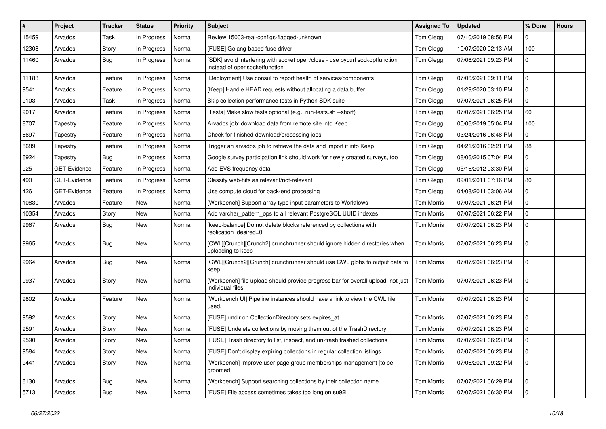| $\sharp$ | Project             | <b>Tracker</b> | <b>Status</b> | <b>Priority</b> | <b>Subject</b>                                                                                               | <b>Assigned To</b> | <b>Updated</b>      | % Done      | <b>Hours</b> |
|----------|---------------------|----------------|---------------|-----------------|--------------------------------------------------------------------------------------------------------------|--------------------|---------------------|-------------|--------------|
| 15459    | Arvados             | Task           | In Progress   | Normal          | Review 15003-real-configs-flagged-unknown                                                                    | Tom Clegg          | 07/10/2019 08:56 PM | 0           |              |
| 12308    | Arvados             | Story          | In Progress   | Normal          | [FUSE] Golang-based fuse driver                                                                              | Tom Clegg          | 10/07/2020 02:13 AM | 100         |              |
| 11460    | Arvados             | Bug            | In Progress   | Normal          | [SDK] avoid interfering with socket open/close - use pycurl sockoptfunction<br>instead of opensocketfunction | Tom Clegg          | 07/06/2021 09:23 PM | 0           |              |
| 11183    | Arvados             | Feature        | In Progress   | Normal          | [Deployment] Use consul to report health of services/components                                              | Tom Clegg          | 07/06/2021 09:11 PM | $\mathbf 0$ |              |
| 9541     | Arvados             | Feature        | In Progress   | Normal          | [Keep] Handle HEAD requests without allocating a data buffer                                                 | Tom Clegg          | 01/29/2020 03:10 PM | 0           |              |
| 9103     | Arvados             | Task           | In Progress   | Normal          | Skip collection performance tests in Python SDK suite                                                        | Tom Clegg          | 07/07/2021 06:25 PM | 0           |              |
| 9017     | Arvados             | Feature        | In Progress   | Normal          | [Tests] Make slow tests optional (e.g., run-tests.sh --short)                                                | Tom Clegg          | 07/07/2021 06:25 PM | 60          |              |
| 8707     | Tapestry            | Feature        | In Progress   | Normal          | Arvados job: download data from remote site into Keep                                                        | Tom Clegg          | 05/06/2019 05:04 PM | 100         |              |
| 8697     | Tapestry            | Feature        | In Progress   | Normal          | Check for finished download/processing jobs                                                                  | Tom Clegg          | 03/24/2016 06:48 PM | 0           |              |
| 8689     | Tapestry            | Feature        | In Progress   | Normal          | Trigger an arvados job to retrieve the data and import it into Keep                                          | Tom Clegg          | 04/21/2016 02:21 PM | 88          |              |
| 6924     | Tapestry            | Bug            | In Progress   | Normal          | Google survey participation link should work for newly created surveys, too                                  | Tom Clegg          | 08/06/2015 07:04 PM | 0           |              |
| 925      | <b>GET-Evidence</b> | Feature        | In Progress   | Normal          | Add EVS frequency data                                                                                       | Tom Clegg          | 05/16/2012 03:30 PM | 0           |              |
| 490      | <b>GET-Evidence</b> | Feature        | In Progress   | Normal          | Classify web-hits as relevant/not-relevant                                                                   | Tom Clegg          | 09/01/2011 07:16 PM | 80          |              |
| 426      | <b>GET-Evidence</b> | Feature        | In Progress   | Normal          | Use compute cloud for back-end processing                                                                    | Tom Clegg          | 04/08/2011 03:06 AM | 0           |              |
| 10830    | Arvados             | Feature        | New           | Normal          | [Workbench] Support array type input parameters to Workflows                                                 | <b>Tom Morris</b>  | 07/07/2021 06:21 PM | 0           |              |
| 10354    | Arvados             | Story          | New           | Normal          | Add varchar_pattern_ops to all relevant PostgreSQL UUID indexes                                              | <b>Tom Morris</b>  | 07/07/2021 06:22 PM | 0           |              |
| 9967     | Arvados             | Bug            | New           | Normal          | [keep-balance] Do not delete blocks referenced by collections with<br>replication desired=0                  | <b>Tom Morris</b>  | 07/07/2021 06:23 PM | $\mathbf 0$ |              |
| 9965     | Arvados             | Bug            | New           | Normal          | [CWL][Crunch][Crunch2] crunchrunner should ignore hidden directories when<br>uploading to keep               | <b>Tom Morris</b>  | 07/07/2021 06:23 PM | 0           |              |
| 9964     | Arvados             | Bug            | New           | Normal          | [CWL][Crunch2][Crunch] crunchrunner should use CWL globs to output data to<br>keep                           | Tom Morris         | 07/07/2021 06:23 PM | 0           |              |
| 9937     | Arvados             | Story          | New           | Normal          | [Workbench] file upload should provide progress bar for overall upload, not just<br>individual files         | <b>Tom Morris</b>  | 07/07/2021 06:23 PM | $\mathbf 0$ |              |
| 9802     | Arvados             | Feature        | New           | Normal          | [Workbench UI] Pipeline instances should have a link to view the CWL file<br>used.                           | <b>Tom Morris</b>  | 07/07/2021 06:23 PM | $\mathbf 0$ |              |
| 9592     | Arvados             | Story          | New           | Normal          | [FUSE] rmdir on CollectionDirectory sets expires_at                                                          | Tom Morris         | 07/07/2021 06:23 PM | 0           |              |
| 9591     | Arvados             | Story          | New           | Normal          | [FUSE] Undelete collections by moving them out of the TrashDirectory                                         | <b>Tom Morris</b>  | 07/07/2021 06:23 PM | 0           |              |
| 9590     | Arvados             | Story          | New           | Normal          | [FUSE] Trash directory to list, inspect, and un-trash trashed collections                                    | <b>Tom Morris</b>  | 07/07/2021 06:23 PM | 0           |              |
| 9584     | Arvados             | Story          | New           | Normal          | [FUSE] Don't display expiring collections in regular collection listings                                     | Tom Morris         | 07/07/2021 06:23 PM | $\mathbf 0$ |              |
| 9441     | Arvados             | Story          | New           | Normal          | [Workbench] Improve user page group memberships management [to be<br>groomed]                                | Tom Morris         | 07/06/2021 09:22 PM | $\mathbf 0$ |              |
| 6130     | Arvados             | Bug            | New           | Normal          | [Workbench] Support searching collections by their collection name                                           | Tom Morris         | 07/07/2021 06:29 PM | $\mathbf 0$ |              |
| 5713     | Arvados             | <b>Bug</b>     | New           | Normal          | [FUSE] File access sometimes takes too long on su92l                                                         | <b>Tom Morris</b>  | 07/07/2021 06:30 PM | 0           |              |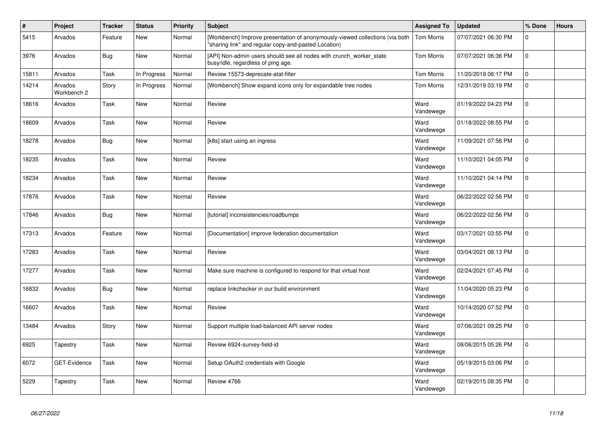| $\#$  | Project                | <b>Tracker</b> | <b>Status</b> | Priority | <b>Subject</b>                                                                                                                       | <b>Assigned To</b> | <b>Updated</b>      | % Done         | <b>Hours</b> |
|-------|------------------------|----------------|---------------|----------|--------------------------------------------------------------------------------------------------------------------------------------|--------------------|---------------------|----------------|--------------|
| 5415  | Arvados                | Feature        | New           | Normal   | [Workbench] Improve presentation of anonymously-viewed collections (via both<br>"sharing link" and regular copy-and-pasted Location) | <b>Tom Morris</b>  | 07/07/2021 06:30 PM | 0              |              |
| 3976  | Arvados                | <b>Bug</b>     | New           | Normal   | [API] Non-admin users should see all nodes with crunch worker state<br>busy/idle, regardless of ping age.                            | Tom Morris         | 07/07/2021 06:36 PM | $\mathbf 0$    |              |
| 15811 | Arvados                | Task           | In Progress   | Normal   | Review 15573-deprecate-atat-filter                                                                                                   | Tom Morris         | 11/20/2019 06:17 PM | $\Omega$       |              |
| 14214 | Arvados<br>Workbench 2 | Story          | In Progress   | Normal   | [Workbench] Show expand icons only for expandable tree nodes                                                                         | Tom Morris         | 12/31/2019 03:19 PM | 0              |              |
| 18616 | Arvados                | Task           | <b>New</b>    | Normal   | Review                                                                                                                               | Ward<br>Vandewege  | 01/19/2022 04:23 PM | $\Omega$       |              |
| 18609 | Arvados                | Task           | <b>New</b>    | Normal   | Review                                                                                                                               | Ward<br>Vandewege  | 01/18/2022 08:55 PM | $\overline{0}$ |              |
| 18278 | Arvados                | <b>Bug</b>     | New           | Normal   | [k8s] start using an ingress                                                                                                         | Ward<br>Vandewege  | 11/09/2021 07:56 PM | $\mathbf 0$    |              |
| 18235 | Arvados                | Task           | <b>New</b>    | Normal   | Review                                                                                                                               | Ward<br>Vandewege  | 11/10/2021 04:05 PM | $\Omega$       |              |
| 18234 | Arvados                | Task           | New           | Normal   | Review                                                                                                                               | Ward<br>Vandewege  | 11/10/2021 04:14 PM | $\mathbf{0}$   |              |
| 17876 | Arvados                | Task           | New           | Normal   | Review                                                                                                                               | Ward<br>Vandewege  | 06/22/2022 02:56 PM | $\mathbf{0}$   |              |
| 17846 | Arvados                | <b>Bug</b>     | <b>New</b>    | Normal   | [tutorial] inconsistencies/roadbumps                                                                                                 | Ward<br>Vandewege  | 06/22/2022 02:56 PM | 0              |              |
| 17313 | Arvados                | Feature        | <b>New</b>    | Normal   | [Documentation] improve federation documentation                                                                                     | Ward<br>Vandewege  | 03/17/2021 03:55 PM | $\mathsf{O}$   |              |
| 17283 | Arvados                | Task           | New           | Normal   | Review                                                                                                                               | Ward<br>Vandewege  | 03/04/2021 08:13 PM | $\overline{0}$ |              |
| 17277 | Arvados                | Task           | <b>New</b>    | Normal   | Make sure machine is configured to respond for that virtual host                                                                     | Ward<br>Vandewege  | 02/24/2021 07:45 PM | $\Omega$       |              |
| 16832 | Arvados                | <b>Bug</b>     | <b>New</b>    | Normal   | replace linkchecker in our build environment                                                                                         | Ward<br>Vandewege  | 11/04/2020 05:23 PM | $\mathbf{0}$   |              |
| 16607 | Arvados                | Task           | <b>New</b>    | Normal   | Review                                                                                                                               | Ward<br>Vandewege  | 10/14/2020 07:52 PM | $\overline{0}$ |              |
| 13484 | Arvados                | Story          | New           | Normal   | Support multiple load-balanced API server nodes                                                                                      | Ward<br>Vandewege  | 07/06/2021 09:25 PM | $\mathbf 0$    |              |
| 6925  | Tapestry               | Task           | <b>New</b>    | Normal   | Review 6924-survey-field-id                                                                                                          | Ward<br>Vandewege  | 08/06/2015 05:26 PM | $\Omega$       |              |
| 6072  | GET-Evidence           | Task           | <b>New</b>    | Normal   | Setup OAuth2 credentials with Google                                                                                                 | Ward<br>Vandewege  | 05/19/2015 03:06 PM | $\mathsf{O}$   |              |
| 5229  | Tapestry               | Task           | <b>New</b>    | Normal   | Review 4766                                                                                                                          | Ward<br>Vandewege  | 02/19/2015 08:35 PM | $\mathbf 0$    |              |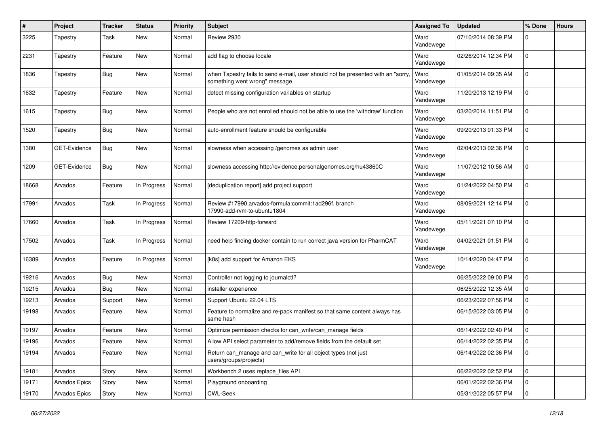| $\#$  | Project       | <b>Tracker</b> | <b>Status</b> | <b>Priority</b> | <b>Subject</b>                                                                                                   | <b>Assigned To</b> | <b>Updated</b>      | % Done      | <b>Hours</b> |
|-------|---------------|----------------|---------------|-----------------|------------------------------------------------------------------------------------------------------------------|--------------------|---------------------|-------------|--------------|
| 3225  | Tapestry      | Task           | New           | Normal          | Review 2930                                                                                                      | Ward<br>Vandewege  | 07/10/2014 08:39 PM | 0           |              |
| 2231  | Tapestry      | Feature        | New           | Normal          | add flag to choose locale                                                                                        | Ward<br>Vandewege  | 02/26/2014 12:34 PM | 0           |              |
| 1836  | Tapestry      | <b>Bug</b>     | <b>New</b>    | Normal          | when Tapestry fails to send e-mail, user should not be presented with an "sorry<br>something went wrong" message | Ward<br>Vandewege  | 01/05/2014 09:35 AM | 0           |              |
| 1632  | Tapestry      | Feature        | New           | Normal          | detect missing configuration variables on startup                                                                | Ward<br>Vandewege  | 11/20/2013 12:19 PM | $\mathbf 0$ |              |
| 1615  | Tapestry      | Bug            | New           | Normal          | People who are not enrolled should not be able to use the 'withdraw' function                                    | Ward<br>Vandewege  | 03/20/2014 11:51 PM | 0           |              |
| 1520  | Tapestry      | Bug            | New           | Normal          | auto-enrollment feature should be configurable                                                                   | Ward<br>Vandewege  | 09/20/2013 01:33 PM | $\mathbf 0$ |              |
| 1380  | GET-Evidence  | <b>Bug</b>     | <b>New</b>    | Normal          | slowness when accessing /genomes as admin user                                                                   | Ward<br>Vandewege  | 02/04/2013 02:36 PM | 0           |              |
| 1209  | GET-Evidence  | Bug            | New           | Normal          | slowness accessing http://evidence.personalgenomes.org/hu43860C                                                  | Ward<br>Vandewege  | 11/07/2012 10:56 AM | $\mathbf 0$ |              |
| 18668 | Arvados       | Feature        | In Progress   | Normal          | [deduplication report] add project support                                                                       | Ward<br>Vandewege  | 01/24/2022 04:50 PM | 0           |              |
| 17991 | Arvados       | Task           | In Progress   | Normal          | Review #17990 arvados-formula:commit:1ad296f, branch<br>17990-add-rvm-to-ubuntu1804                              | Ward<br>Vandewege  | 08/09/2021 12:14 PM | 0           |              |
| 17660 | Arvados       | Task           | In Progress   | Normal          | Review 17209-http-forward                                                                                        | Ward<br>Vandewege  | 05/11/2021 07:10 PM | $\mathbf 0$ |              |
| 17502 | Arvados       | Task           | In Progress   | Normal          | need help finding docker contain to run correct java version for PharmCAT                                        | Ward<br>Vandewege  | 04/02/2021 01:51 PM | 0           |              |
| 16389 | Arvados       | Feature        | In Progress   | Normal          | [k8s] add support for Amazon EKS                                                                                 | Ward<br>Vandewege  | 10/14/2020 04:47 PM | $\mathbf 0$ |              |
| 19216 | Arvados       | Bug            | <b>New</b>    | Normal          | Controller not logging to journalctl?                                                                            |                    | 06/25/2022 09:00 PM | 0           |              |
| 19215 | Arvados       | Bug            | New           | Normal          | installer experience                                                                                             |                    | 06/25/2022 12:35 AM | 0           |              |
| 19213 | Arvados       | Support        | New           | Normal          | Support Ubuntu 22.04 LTS                                                                                         |                    | 06/23/2022 07:56 PM | 0           |              |
| 19198 | Arvados       | Feature        | New           | Normal          | Feature to normalize and re-pack manifest so that same content always has<br>same hash                           |                    | 06/15/2022 03:05 PM | $\mathbf 0$ |              |
| 19197 | Arvados       | Feature        | <b>New</b>    | Normal          | Optimize permission checks for can_write/can_manage fields                                                       |                    | 06/14/2022 02:40 PM | 0           |              |
| 19196 | Arvados       | Feature        | New           | Normal          | Allow API select parameter to add/remove fields from the default set                                             |                    | 06/14/2022 02:35 PM | $\Omega$    |              |
| 19194 | Arvados       | Feature        | New           | Normal          | Return can manage and can write for all object types (not just<br>users/groups/projects)                         |                    | 06/14/2022 02:36 PM | $\mathbf 0$ |              |
| 19181 | Arvados       | Story          | New           | Normal          | Workbench 2 uses replace_files API                                                                               |                    | 06/22/2022 02:52 PM | $\mathbf 0$ |              |
| 19171 | Arvados Epics | Story          | New           | Normal          | Playground onboarding                                                                                            |                    | 06/01/2022 02:36 PM | 0           |              |
| 19170 | Arvados Epics | Story          | New           | Normal          | CWL-Seek                                                                                                         |                    | 05/31/2022 05:57 PM | $\mathbf 0$ |              |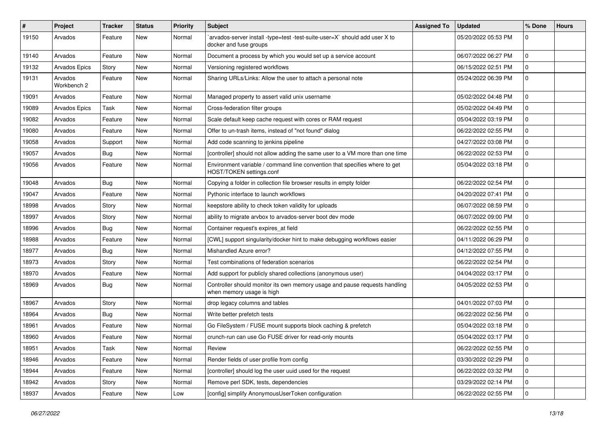| ∦     | Project                | <b>Tracker</b> | <b>Status</b> | <b>Priority</b> | <b>Subject</b>                                                                                          | <b>Assigned To</b> | <b>Updated</b>      | % Done       | <b>Hours</b> |
|-------|------------------------|----------------|---------------|-----------------|---------------------------------------------------------------------------------------------------------|--------------------|---------------------|--------------|--------------|
| 19150 | Arvados                | Feature        | New           | Normal          | arvados-server install -type=test -test-suite-user=X` should add user X to<br>docker and fuse groups    |                    | 05/20/2022 05:53 PM | 0            |              |
| 19140 | Arvados                | Feature        | New           | Normal          | Document a process by which you would set up a service account                                          |                    | 06/07/2022 06:27 PM | $\mathbf 0$  |              |
| 19132 | Arvados Epics          | Story          | New           | Normal          | Versioning registered workflows                                                                         |                    | 06/15/2022 02:51 PM | 0            |              |
| 19131 | Arvados<br>Workbench 2 | Feature        | <b>New</b>    | Normal          | Sharing URLs/Links: Allow the user to attach a personal note                                            |                    | 05/24/2022 06:39 PM | 0            |              |
| 19091 | Arvados                | Feature        | New           | Normal          | Managed property to assert valid unix username                                                          |                    | 05/02/2022 04:48 PM | 0            |              |
| 19089 | Arvados Epics          | Task           | New           | Normal          | Cross-federation filter groups                                                                          |                    | 05/02/2022 04:49 PM | 0            |              |
| 19082 | Arvados                | Feature        | New           | Normal          | Scale default keep cache request with cores or RAM request                                              |                    | 05/04/2022 03:19 PM | 0            |              |
| 19080 | Arvados                | Feature        | <b>New</b>    | Normal          | Offer to un-trash items, instead of "not found" dialog                                                  |                    | 06/22/2022 02:55 PM | 0            |              |
| 19058 | Arvados                | Support        | New           | Normal          | Add code scanning to jenkins pipeline                                                                   |                    | 04/27/2022 03:08 PM | 0            |              |
| 19057 | Arvados                | Bug            | New           | Normal          | [controller] should not allow adding the same user to a VM more than one time                           |                    | 06/22/2022 02:53 PM | 0            |              |
| 19056 | Arvados                | Feature        | New           | Normal          | Environment variable / command line convention that specifies where to get<br>HOST/TOKEN settings.conf  |                    | 05/04/2022 03:18 PM | 0            |              |
| 19048 | Arvados                | Bug            | New           | Normal          | Copying a folder in collection file browser results in empty folder                                     |                    | 06/22/2022 02:54 PM | 0            |              |
| 19047 | Arvados                | Feature        | New           | Normal          | Pythonic interface to launch workflows                                                                  |                    | 04/20/2022 07:41 PM | 0            |              |
| 18998 | Arvados                | Story          | <b>New</b>    | Normal          | keepstore ability to check token validity for uploads                                                   |                    | 06/07/2022 08:59 PM | 0            |              |
| 18997 | Arvados                | Story          | <b>New</b>    | Normal          | ability to migrate arvbox to arvados-server boot dev mode                                               |                    | 06/07/2022 09:00 PM | 0            |              |
| 18996 | Arvados                | Bug            | New           | Normal          | Container request's expires at field                                                                    |                    | 06/22/2022 02:55 PM | 0            |              |
| 18988 | Arvados                | Feature        | New           | Normal          | [CWL] support singularity/docker hint to make debugging workflows easier                                |                    | 04/11/2022 06:29 PM | 0            |              |
| 18977 | Arvados                | Bug            | New           | Normal          | Mishandled Azure error?                                                                                 |                    | 04/12/2022 07:55 PM | 0            |              |
| 18973 | Arvados                | Story          | New           | Normal          | Test combinations of federation scenarios                                                               |                    | 06/22/2022 02:54 PM | 0            |              |
| 18970 | Arvados                | Feature        | <b>New</b>    | Normal          | Add support for publicly shared collections (anonymous user)                                            |                    | 04/04/2022 03:17 PM | 0            |              |
| 18969 | Arvados                | Bug            | New           | Normal          | Controller should monitor its own memory usage and pause requests handling<br>when memory usage is high |                    | 04/05/2022 02:53 PM | 0            |              |
| 18967 | Arvados                | Story          | <b>New</b>    | Normal          | drop legacy columns and tables                                                                          |                    | 04/01/2022 07:03 PM | 0            |              |
| 18964 | Arvados                | Bug            | New           | Normal          | Write better prefetch tests                                                                             |                    | 06/22/2022 02:56 PM | 0            |              |
| 18961 | Arvados                | Feature        | New           | Normal          | Go FileSystem / FUSE mount supports block caching & prefetch                                            |                    | 05/04/2022 03:18 PM | 0            |              |
| 18960 | Arvados                | Feature        | New           | Normal          | crunch-run can use Go FUSE driver for read-only mounts                                                  |                    | 05/04/2022 03:17 PM | 0            |              |
| 18951 | Arvados                | Task           | New           | Normal          | Review                                                                                                  |                    | 06/22/2022 02:55 PM | 0            |              |
| 18946 | Arvados                | Feature        | New           | Normal          | Render fields of user profile from config                                                               |                    | 03/30/2022 02:29 PM | 0            |              |
| 18944 | Arvados                | Feature        | New           | Normal          | [controller] should log the user uuid used for the request                                              |                    | 06/22/2022 03:32 PM | $\mathsf{O}$ |              |
| 18942 | Arvados                | Story          | New           | Normal          | Remove perl SDK, tests, dependencies                                                                    |                    | 03/29/2022 02:14 PM | 0            |              |
| 18937 | Arvados                | Feature        | New           | Low             | [config] simplify AnonymousUserToken configuration                                                      |                    | 06/22/2022 02:55 PM | 0            |              |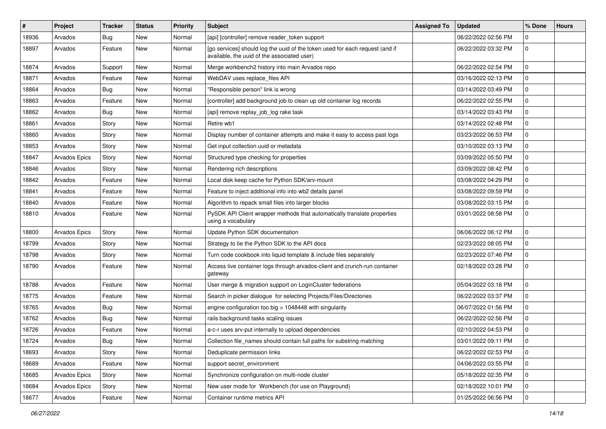| #     | Project       | <b>Tracker</b> | <b>Status</b> | <b>Priority</b> | <b>Subject</b>                                                                                                              | <b>Assigned To</b> | <b>Updated</b>      | % Done      | <b>Hours</b> |
|-------|---------------|----------------|---------------|-----------------|-----------------------------------------------------------------------------------------------------------------------------|--------------------|---------------------|-------------|--------------|
| 18936 | Arvados       | <b>Bug</b>     | New           | Normal          | [api] [controller] remove reader_token support                                                                              |                    | 06/22/2022 02:56 PM | 0           |              |
| 18897 | Arvados       | Feature        | New           | Normal          | [go services] should log the uuid of the token used for each request (and if<br>available, the uuid of the associated user) |                    | 06/22/2022 03:32 PM | 0           |              |
| 18874 | Arvados       | Support        | New           | Normal          | Merge workbench2 history into main Arvados repo                                                                             |                    | 06/22/2022 02:54 PM | 0           |              |
| 18871 | Arvados       | Feature        | <b>New</b>    | Normal          | WebDAV uses replace_files API                                                                                               |                    | 03/16/2022 02:13 PM | 0           |              |
| 18864 | Arvados       | <b>Bug</b>     | New           | Normal          | "Responsible person" link is wrong                                                                                          |                    | 03/14/2022 03:49 PM | 0           |              |
| 18863 | Arvados       | Feature        | New           | Normal          | [controller] add background job to clean up old container log records                                                       |                    | 06/22/2022 02:55 PM | 0           |              |
| 18862 | Arvados       | <b>Bug</b>     | New           | Normal          | [api] remove replay_job_log rake task                                                                                       |                    | 03/14/2022 03:43 PM | 0           |              |
| 18861 | Arvados       | Story          | New           | Normal          | Retire wb1                                                                                                                  |                    | 03/14/2022 02:48 PM | 0           |              |
| 18860 | Arvados       | Story          | New           | Normal          | Display number of container attempts and make it easy to access past logs                                                   |                    | 03/23/2022 06:53 PM | 0           |              |
| 18853 | Arvados       | Story          | New           | Normal          | Get input collection uuid or metadata                                                                                       |                    | 03/10/2022 03:13 PM | 0           |              |
| 18847 | Arvados Epics | Story          | New           | Normal          | Structured type checking for properties                                                                                     |                    | 03/09/2022 05:50 PM | 0           |              |
| 18846 | Arvados       | Story          | New           | Normal          | Rendering rich descriptions                                                                                                 |                    | 03/09/2022 08:42 PM | 0           |              |
| 18842 | Arvados       | Feature        | <b>New</b>    | Normal          | Local disk keep cache for Python SDK/arv-mount                                                                              |                    | 03/08/2022 04:29 PM | 0           |              |
| 18841 | Arvados       | Feature        | New           | Normal          | Feature to inject additional info into wb2 details panel                                                                    |                    | 03/08/2022 09:59 PM | 0           |              |
| 18840 | Arvados       | Feature        | <b>New</b>    | Normal          | Algorithm to repack small files into larger blocks                                                                          |                    | 03/08/2022 03:15 PM | 0           |              |
| 18810 | Arvados       | Feature        | New           | Normal          | PySDK API Client wrapper methods that automatically translate properties<br>using a vocabulary                              |                    | 03/01/2022 08:58 PM | 0           |              |
| 18800 | Arvados Epics | Story          | New           | Normal          | Update Python SDK documentation                                                                                             |                    | 06/06/2022 06:12 PM | 0           |              |
| 18799 | Arvados       | Story          | New           | Normal          | Strategy to tie the Python SDK to the API docs                                                                              |                    | 02/23/2022 08:05 PM | 0           |              |
| 18798 | Arvados       | Story          | New           | Normal          | Turn code cookbook into liquid template & include files separately                                                          |                    | 02/23/2022 07:46 PM | 0           |              |
| 18790 | Arvados       | Feature        | New           | Normal          | Access live container logs through arvados-client and crunch-run container<br>gateway                                       |                    | 02/18/2022 03:28 PM | 0           |              |
| 18788 | Arvados       | Feature        | <b>New</b>    | Normal          | User merge & migration support on LoginCluster federations                                                                  |                    | 05/04/2022 03:18 PM | 0           |              |
| 18775 | Arvados       | Feature        | New           | Normal          | Search in picker dialogue for selecting Projects/Files/Directories                                                          |                    | 06/22/2022 03:37 PM | 0           |              |
| 18765 | Arvados       | <b>Bug</b>     | New           | Normal          | engine configuration too big > 1048448 with singularity                                                                     |                    | 06/07/2022 01:56 PM | 0           |              |
| 18762 | Arvados       | <b>Bug</b>     | New           | Normal          | rails background tasks scaling issues                                                                                       |                    | 06/22/2022 02:56 PM | 0           |              |
| 18726 | Arvados       | Feature        | New           | Normal          | a-c-r uses arv-put internally to upload dependencies                                                                        |                    | 02/10/2022 04:53 PM | 0           |              |
| 18724 | Arvados       | Bug            | New           | Normal          | Collection file_names should contain full paths for substring matching                                                      |                    | 03/01/2022 09:11 PM | $\Omega$    |              |
| 18693 | Arvados       | Story          | New           | Normal          | Deduplicate permission links                                                                                                |                    | 06/22/2022 02:53 PM | 0           |              |
| 18689 | Arvados       | Feature        | New           | Normal          | support secret_environment                                                                                                  |                    | 04/06/2022 03:55 PM | 0           |              |
| 18685 | Arvados Epics | Story          | New           | Normal          | Synchronize configuration on multi-node cluster                                                                             |                    | 05/18/2022 02:35 PM | 0           |              |
| 18684 | Arvados Epics | Story          | New           | Normal          | New user mode for Workbench (for use on Playground)                                                                         |                    | 02/18/2022 10:01 PM | 0           |              |
| 18677 | Arvados       | Feature        | New           | Normal          | Container runtime metrics API                                                                                               |                    | 01/25/2022 06:56 PM | $\mathbf 0$ |              |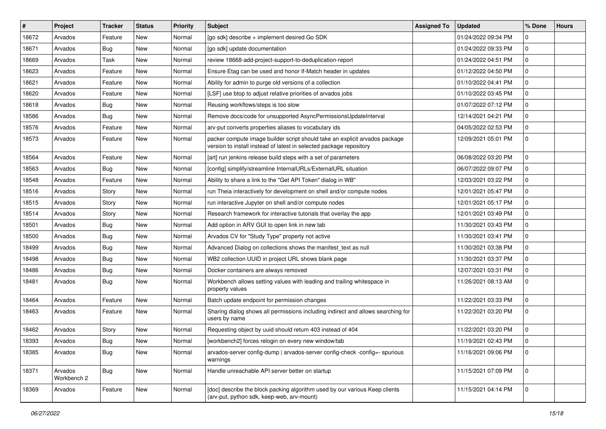| $\vert$ # | Project                | <b>Tracker</b> | <b>Status</b> | <b>Priority</b> | <b>Subject</b>                                                                                                                                     | <b>Assigned To</b> | <b>Updated</b>      | % Done      | <b>Hours</b> |
|-----------|------------------------|----------------|---------------|-----------------|----------------------------------------------------------------------------------------------------------------------------------------------------|--------------------|---------------------|-------------|--------------|
| 18672     | Arvados                | Feature        | New           | Normal          | [go sdk] describe + implement desired Go SDK                                                                                                       |                    | 01/24/2022 09:34 PM | 0           |              |
| 18671     | Arvados                | Bug            | <b>New</b>    | Normal          | [go sdk] update documentation                                                                                                                      |                    | 01/24/2022 09:33 PM | 0           |              |
| 18669     | Arvados                | Task           | New           | Normal          | review 18668-add-project-support-to-deduplication-report                                                                                           |                    | 01/24/2022 04:51 PM | 0           |              |
| 18623     | Arvados                | Feature        | New           | Normal          | Ensure Etag can be used and honor If-Match header in updates                                                                                       |                    | 01/12/2022 04:50 PM | 0           |              |
| 18621     | Arvados                | Feature        | New           | Normal          | Ability for admin to purge old versions of a collection                                                                                            |                    | 01/10/2022 04:41 PM | 0           |              |
| 18620     | Arvados                | Feature        | New           | Normal          | [LSF] use btop to adjust relative priorities of arvados jobs                                                                                       |                    | 01/10/2022 03:45 PM | 0           |              |
| 18618     | Arvados                | Bug            | New           | Normal          | Reusing workflows/steps is too slow                                                                                                                |                    | 01/07/2022 07:12 PM | 0           |              |
| 18586     | Arvados                | Bug            | New           | Normal          | Remove docs/code for unsupported AsyncPermissionsUpdateInterval                                                                                    |                    | 12/14/2021 04:21 PM | 0           |              |
| 18576     | Arvados                | Feature        | New           | Normal          | arv-put converts properties aliases to vocabulary ids                                                                                              |                    | 04/05/2022 02:53 PM | 0           |              |
| 18573     | Arvados                | Feature        | New           | Normal          | packer compute image builder script should take an explicit arvados package<br>version to install instead of latest in selected package repository |                    | 12/09/2021 05:01 PM | 0           |              |
| 18564     | Arvados                | Feature        | New           | Normal          | [art] run jenkins release build steps with a set of parameters                                                                                     |                    | 06/08/2022 03:20 PM | 0           |              |
| 18563     | Arvados                | Bug            | New           | Normal          | [config] simplify/streamline InternalURLs/ExternalURL situation                                                                                    |                    | 06/07/2022 09:07 PM | 0           |              |
| 18548     | Arvados                | Feature        | New           | Normal          | Ability to share a link to the "Get API Token" dialog in WB"                                                                                       |                    | 12/03/2021 03:22 PM | 0           |              |
| 18516     | Arvados                | Story          | <b>New</b>    | Normal          | run Theia interactively for development on shell and/or compute nodes                                                                              |                    | 12/01/2021 05:47 PM | 0           |              |
| 18515     | Arvados                | Story          | New           | Normal          | run interactive Jupyter on shell and/or compute nodes                                                                                              |                    | 12/01/2021 05:17 PM | 0           |              |
| 18514     | Arvados                | Story          | New           | Normal          | Research framework for interactive tutorials that overlay the app                                                                                  |                    | 12/01/2021 03:49 PM | 0           |              |
| 18501     | Arvados                | Bug            | New           | Normal          | Add option in ARV GUI to open link in new tab                                                                                                      |                    | 11/30/2021 03:43 PM | 0           |              |
| 18500     | Arvados                | Bug            | New           | Normal          | Arvados CV for "Study Type" property not active                                                                                                    |                    | 11/30/2021 03:41 PM | 0           |              |
| 18499     | Arvados                | Bug            | New           | Normal          | Advanced Dialog on collections shows the manifest text as null                                                                                     |                    | 11/30/2021 03:38 PM | 0           |              |
| 18498     | Arvados                | Bug            | New           | Normal          | WB2 collection UUID in project URL shows blank page                                                                                                |                    | 11/30/2021 03:37 PM | 0           |              |
| 18486     | Arvados                | Bug            | New           | Normal          | Docker containers are always removed                                                                                                               |                    | 12/07/2021 03:31 PM | 0           |              |
| 18481     | Arvados                | Bug            | New           | Normal          | Workbench allows setting values with leading and trailing whitespace in<br>property values                                                         |                    | 11/26/2021 08:13 AM | 0           |              |
| 18464     | Arvados                | Feature        | <b>New</b>    | Normal          | Batch update endpoint for permission changes                                                                                                       |                    | 11/22/2021 03:33 PM | 0           |              |
| 18463     | Arvados                | Feature        | New           | Normal          | Sharing dialog shows all permissions including indirect and allows searching for<br>users by name                                                  |                    | 11/22/2021 03:20 PM | 0           |              |
| 18462     | Arvados                | Story          | New           | Normal          | Requesting object by uuid should return 403 instead of 404                                                                                         |                    | 11/22/2021 03:20 PM | 0           |              |
| 18393     | Arvados                | Bug            | New           | Normal          | [workbench2] forces relogin on every new window/tab                                                                                                |                    | 11/19/2021 02:43 PM | $\mathbf 0$ |              |
| 18385     | Arvados                | Bug            | New           | Normal          | arvados-server config-dump   arvados-server config-check -config=- spurious<br>warnings                                                            |                    | 11/16/2021 09:06 PM | $\mathbf 0$ |              |
| 18371     | Arvados<br>Workbench 2 | Bug            | New           | Normal          | Handle unreachable API server better on startup                                                                                                    |                    | 11/15/2021 07:09 PM | $\mathbf 0$ |              |
| 18369     | Arvados                | Feature        | New           | Normal          | [doc] describe the block packing algorithm used by our various Keep clients<br>(arv-put, python sdk, keep-web, arv-mount)                          |                    | 11/15/2021 04:14 PM | $\mathbf 0$ |              |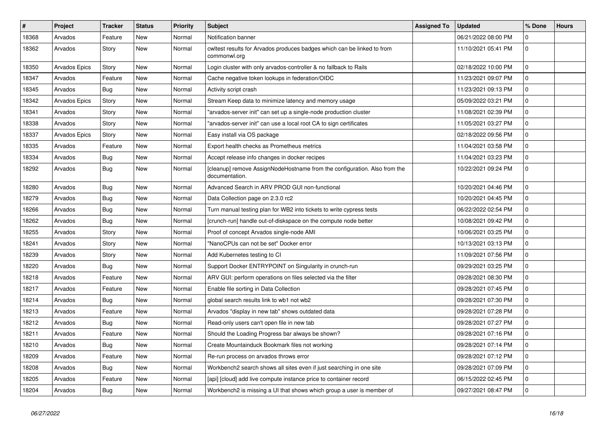| $\vert$ # | Project              | <b>Tracker</b> | <b>Status</b> | Priority | <b>Subject</b>                                                                              | <b>Assigned To</b> | <b>Updated</b>      | % Done   | <b>Hours</b> |
|-----------|----------------------|----------------|---------------|----------|---------------------------------------------------------------------------------------------|--------------------|---------------------|----------|--------------|
| 18368     | Arvados              | Feature        | <b>New</b>    | Normal   | Notification banner                                                                         |                    | 06/21/2022 08:00 PM | 0        |              |
| 18362     | Arvados              | Story          | New           | Normal   | cwltest results for Arvados produces badges which can be linked to from<br>commonwl.org     |                    | 11/10/2021 05:41 PM | 0        |              |
| 18350     | <b>Arvados Epics</b> | Story          | <b>New</b>    | Normal   | Login cluster with only arvados-controller & no fallback to Rails                           |                    | 02/18/2022 10:00 PM | 0        |              |
| 18347     | Arvados              | Feature        | New           | Normal   | Cache negative token lookups in federation/OIDC                                             |                    | 11/23/2021 09:07 PM | 0        |              |
| 18345     | Arvados              | Bug            | New           | Normal   | Activity script crash                                                                       |                    | 11/23/2021 09:13 PM | 0        |              |
| 18342     | Arvados Epics        | Story          | <b>New</b>    | Normal   | Stream Keep data to minimize latency and memory usage                                       |                    | 05/09/2022 03:21 PM | 0        |              |
| 18341     | Arvados              | Story          | <b>New</b>    | Normal   | "arvados-server init" can set up a single-node production cluster                           |                    | 11/08/2021 02:39 PM | 0        |              |
| 18338     | Arvados              | Story          | New           | Normal   | "arvados-server init" can use a local root CA to sign certificates                          |                    | 11/05/2021 03:27 PM | 0        |              |
| 18337     | Arvados Epics        | Story          | <b>New</b>    | Normal   | Easy install via OS package                                                                 |                    | 02/18/2022 09:56 PM | 0        |              |
| 18335     | Arvados              | Feature        | <b>New</b>    | Normal   | Export health checks as Prometheus metrics                                                  |                    | 11/04/2021 03:58 PM | 0        |              |
| 18334     | Arvados              | <b>Bug</b>     | New           | Normal   | Accept release info changes in docker recipes                                               |                    | 11/04/2021 03:23 PM | 0        |              |
| 18292     | Arvados              | Bug            | <b>New</b>    | Normal   | [cleanup] remove AssignNodeHostname from the configuration. Also from the<br>documentation. |                    | 10/22/2021 09:24 PM | 0        |              |
| 18280     | Arvados              | <b>Bug</b>     | <b>New</b>    | Normal   | Advanced Search in ARV PROD GUI non-functional                                              |                    | 10/20/2021 04:46 PM | 0        |              |
| 18279     | Arvados              | <b>Bug</b>     | <b>New</b>    | Normal   | Data Collection page on 2.3.0 rc2                                                           |                    | 10/20/2021 04:45 PM | 0        |              |
| 18266     | Arvados              | Bug            | New           | Normal   | Turn manual testing plan for WB2 into tickets to write cypress tests                        |                    | 06/22/2022 02:54 PM | 0        |              |
| 18262     | Arvados              | <b>Bug</b>     | New           | Normal   | [crunch-run] handle out-of-diskspace on the compute node better                             |                    | 10/08/2021 09:42 PM | 0        |              |
| 18255     | Arvados              | Story          | New           | Normal   | Proof of concept Arvados single-node AMI                                                    |                    | 10/06/2021 03:25 PM | 0        |              |
| 18241     | Arvados              | Story          | <b>New</b>    | Normal   | "NanoCPUs can not be set" Docker error                                                      |                    | 10/13/2021 03:13 PM | 0        |              |
| 18239     | Arvados              | Story          | New           | Normal   | Add Kubernetes testing to CI                                                                |                    | 11/09/2021 07:56 PM | 0        |              |
| 18220     | Arvados              | Bug            | New           | Normal   | Support Docker ENTRYPOINT on Singularity in crunch-run                                      |                    | 09/29/2021 03:25 PM | 0        |              |
| 18218     | Arvados              | Feature        | <b>New</b>    | Normal   | ARV GUI: perform operations on files selected via the filter                                |                    | 09/28/2021 08:30 PM | 0        |              |
| 18217     | Arvados              | Feature        | <b>New</b>    | Normal   | Enable file sorting in Data Collection                                                      |                    | 09/28/2021 07:45 PM | 0        |              |
| 18214     | Arvados              | <b>Bug</b>     | <b>New</b>    | Normal   | global search results link to wb1 not wb2                                                   |                    | 09/28/2021 07:30 PM | 0        |              |
| 18213     | Arvados              | Feature        | <b>New</b>    | Normal   | Arvados "display in new tab" shows outdated data                                            |                    | 09/28/2021 07:28 PM | 0        |              |
| 18212     | Arvados              | Bug            | New           | Normal   | Read-only users can't open file in new tab                                                  |                    | 09/28/2021 07:27 PM | 0        |              |
| 18211     | Arvados              | Feature        | New           | Normal   | Should the Loading Progress bar always be shown?                                            |                    | 09/28/2021 07:16 PM | $\Omega$ |              |
| 18210     | Arvados              | <b>Bug</b>     | New           | Normal   | Create Mountainduck Bookmark files not working                                              |                    | 09/28/2021 07:14 PM | 0        |              |
| 18209     | Arvados              | Feature        | New           | Normal   | Re-run process on arvados throws error                                                      |                    | 09/28/2021 07:12 PM | 0        |              |
| 18208     | Arvados              | Bug            | New           | Normal   | Workbench2 search shows all sites even if just searching in one site                        |                    | 09/28/2021 07:09 PM | 0        |              |
| 18205     | Arvados              | Feature        | <b>New</b>    | Normal   | [api] [cloud] add live compute instance price to container record                           |                    | 06/15/2022 02:45 PM | 0        |              |
| 18204     | Arvados              | <b>Bug</b>     | <b>New</b>    | Normal   | Workbench2 is missing a UI that shows which group a user is member of                       |                    | 09/27/2021 08:47 PM | 0        |              |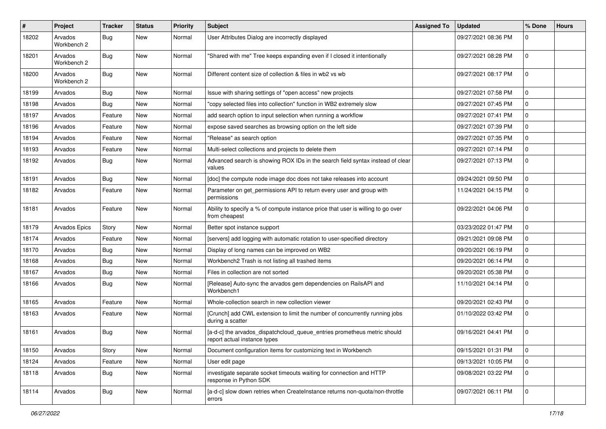| #     | Project                | <b>Tracker</b> | <b>Status</b> | <b>Priority</b> | <b>Subject</b>                                                                                           | <b>Assigned To</b> | <b>Updated</b>      | % Done      | <b>Hours</b> |
|-------|------------------------|----------------|---------------|-----------------|----------------------------------------------------------------------------------------------------------|--------------------|---------------------|-------------|--------------|
| 18202 | Arvados<br>Workbench 2 | Bug            | New           | Normal          | User Attributes Dialog are incorrectly displayed                                                         |                    | 09/27/2021 08:36 PM | 0           |              |
| 18201 | Arvados<br>Workbench 2 | Bug            | <b>New</b>    | Normal          | "Shared with me" Tree keeps expanding even if I closed it intentionally                                  |                    | 09/27/2021 08:28 PM | 0           |              |
| 18200 | Arvados<br>Workbench 2 | <b>Bug</b>     | <b>New</b>    | Normal          | Different content size of collection & files in wb2 vs wb                                                |                    | 09/27/2021 08:17 PM | 0           |              |
| 18199 | Arvados                | Bug            | <b>New</b>    | Normal          | Issue with sharing settings of "open access" new projects                                                |                    | 09/27/2021 07:58 PM | 0           |              |
| 18198 | Arvados                | Bug            | <b>New</b>    | Normal          | "copy selected files into collection" function in WB2 extremely slow                                     |                    | 09/27/2021 07:45 PM | 0           |              |
| 18197 | Arvados                | Feature        | <b>New</b>    | Normal          | add search option to input selection when running a workflow                                             |                    | 09/27/2021 07:41 PM | 0           |              |
| 18196 | Arvados                | Feature        | <b>New</b>    | Normal          | expose saved searches as browsing option on the left side                                                |                    | 09/27/2021 07:39 PM | 0           |              |
| 18194 | Arvados                | Feature        | <b>New</b>    | Normal          | "Release" as search option                                                                               |                    | 09/27/2021 07:35 PM | 0           |              |
| 18193 | Arvados                | Feature        | <b>New</b>    | Normal          | Multi-select collections and projects to delete them                                                     |                    | 09/27/2021 07:14 PM | 0           |              |
| 18192 | Arvados                | <b>Bug</b>     | <b>New</b>    | Normal          | Advanced search is showing ROX IDs in the search field syntax instead of clear<br>values                 |                    | 09/27/2021 07:13 PM | 0           |              |
| 18191 | Arvados                | <b>Bug</b>     | <b>New</b>    | Normal          | [doc] the compute node image doc does not take releases into account                                     |                    | 09/24/2021 09:50 PM | 0           |              |
| 18182 | Arvados                | Feature        | <b>New</b>    | Normal          | Parameter on get_permissions API to return every user and group with<br>permissions                      |                    | 11/24/2021 04:15 PM | 0           |              |
| 18181 | Arvados                | Feature        | <b>New</b>    | Normal          | Ability to specify a % of compute instance price that user is willing to go over<br>from cheapest        |                    | 09/22/2021 04:06 PM | 0           |              |
| 18179 | Arvados Epics          | Story          | <b>New</b>    | Normal          | Better spot instance support                                                                             |                    | 03/23/2022 01:47 PM | 0           |              |
| 18174 | Arvados                | Feature        | <b>New</b>    | Normal          | [servers] add logging with automatic rotation to user-specified directory                                |                    | 09/21/2021 09:08 PM | 0           |              |
| 18170 | Arvados                | <b>Bug</b>     | <b>New</b>    | Normal          | Display of long names can be improved on WB2                                                             |                    | 09/20/2021 06:19 PM | 0           |              |
| 18168 | Arvados                | Bug            | <b>New</b>    | Normal          | Workbench2 Trash is not listing all trashed items                                                        |                    | 09/20/2021 06:14 PM | 0           |              |
| 18167 | Arvados                | Bug            | <b>New</b>    | Normal          | Files in collection are not sorted                                                                       |                    | 09/20/2021 05:38 PM | 0           |              |
| 18166 | Arvados                | <b>Bug</b>     | <b>New</b>    | Normal          | [Release] Auto-sync the arvados gem dependencies on RailsAPI and<br>Workbench1                           |                    | 11/10/2021 04:14 PM | 0           |              |
| 18165 | Arvados                | Feature        | <b>New</b>    | Normal          | Whole-collection search in new collection viewer                                                         |                    | 09/20/2021 02:43 PM | 0           |              |
| 18163 | Arvados                | Feature        | New           | Normal          | [Crunch] add CWL extension to limit the number of concurrently running jobs<br>during a scatter          |                    | 01/10/2022 03:42 PM | 0           |              |
| 18161 | Arvados                | <b>Bug</b>     | New           | Normal          | [a-d-c] the arvados_dispatchcloud_queue_entries prometheus metric should<br>report actual instance types |                    | 09/16/2021 04:41 PM | 0           |              |
| 18150 | Arvados                | Story          | New           | Normal          | Document configuration items for customizing text in Workbench                                           |                    | 09/15/2021 01:31 PM | $\mathbf 0$ |              |
| 18124 | Arvados                | Feature        | <b>New</b>    | Normal          | User edit page                                                                                           |                    | 09/13/2021 10:05 PM | 0           |              |
| 18118 | Arvados                | Bug            | New           | Normal          | investigate separate socket timeouts waiting for connection and HTTP<br>response in Python SDK           |                    | 09/08/2021 03:22 PM | $\mathbf 0$ |              |
| 18114 | Arvados                | <b>Bug</b>     | New           | Normal          | [a-d-c] slow down retries when CreateInstance returns non-quota/non-throttle<br>errors                   |                    | 09/07/2021 06:11 PM | $\mathbf 0$ |              |